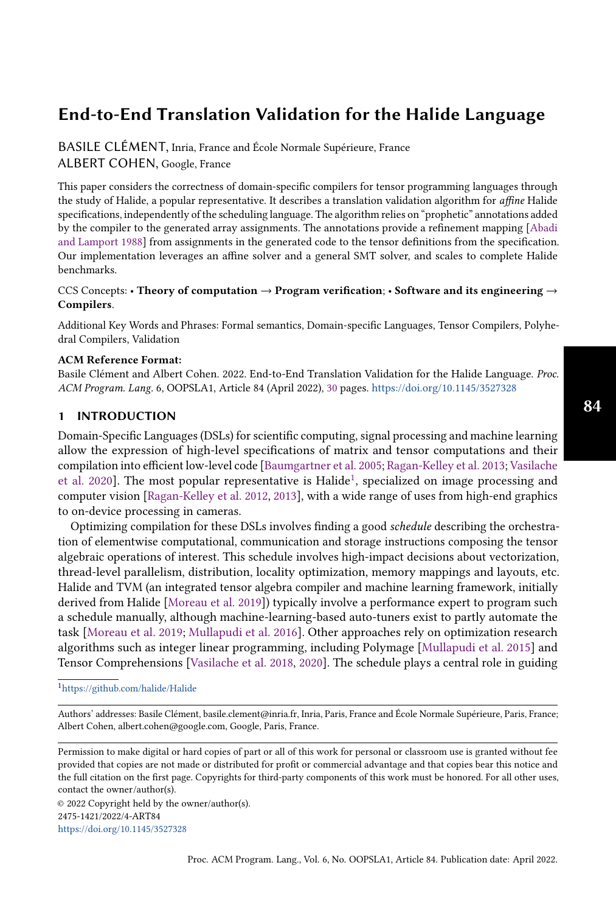BASILE CLÉMENT, Inria, France and École Normale Supérieure, France ALBERT COHEN, Google, France

This paper considers the correctness of domain-specific compilers for tensor programming languages through the study of Halide, a popular representative. It describes a translation validation algorithm for *affine* Halide specifications, independently of the scheduling language. The algorithm relies on "prophetic" annotations added by the compiler to the generated array assignments. The annotations provide a refinement mapping [\[Abadi](#page-26-0) [and Lamport](#page-26-0) [1988\]](#page-26-0) from assignments in the generated code to the tensor definitions from the specification. Our implementation leverages an affine solver and a general SMT solver, and scales to complete Halide benchmarks.

#### CCS Concepts: • Theory of computation  $\rightarrow$  Program verification; • Software and its engineering  $\rightarrow$ Compilers.

Additional Key Words and Phrases: Formal semantics, Domain-specific Languages, Tensor Compilers, Polyhedral Compilers, Validation

## ACM Reference Format:

Basile Clément and Albert Cohen. 2022. End-to-End Translation Validation for the Halide Language. Proc. ACM Program. Lang. 6, OOPSLA1, Article 84 (April 2022), [30](#page-29-0) pages. <https://doi.org/10.1145/3527328>

## 1 INTRODUCTION

Domain-Specific Languages (DSLs) for scientific computing, signal processing and machine learning allow the expression of high-level specifications of matrix and tensor computations and their compilation into efficient low-level code [\[Baumgartner et al.](#page-27-0) [2005;](#page-27-0) [Ragan-Kelley et al.](#page-28-0) [2013;](#page-28-0) [Vasilache](#page-29-1) [et al.](#page-29-1) [2020\]](#page-29-1). The most popular representative is Halide<sup>[1](#page-0-0)</sup>, specialized on image processing and computer vision [\[Ragan-Kelley et al.](#page-28-1) [2012,](#page-28-1) [2013\]](#page-28-0), with a wide range of uses from high-end graphics to on-device processing in cameras.

Optimizing compilation for these DSLs involves finding a good schedule describing the orchestration of elementwise computational, communication and storage instructions composing the tensor algebraic operations of interest. This schedule involves high-impact decisions about vectorization, thread-level parallelism, distribution, locality optimization, memory mappings and layouts, etc. Halide and TVM (an integrated tensor algebra compiler and machine learning framework, initially derived from Halide [\[Moreau et al.](#page-28-2) [2019\]](#page-28-2)) typically involve a performance expert to program such a schedule manually, although machine-learning-based auto-tuners exist to partly automate the task [\[Moreau et al.](#page-28-2) [2019;](#page-28-2) [Mullapudi et al.](#page-28-3) [2016\]](#page-28-3). Other approaches rely on optimization research algorithms such as integer linear programming, including Polymage [\[Mullapudi et al.](#page-28-4) [2015\]](#page-28-4) and Tensor Comprehensions [\[Vasilache et al.](#page-29-2) [2018,](#page-29-2) [2020\]](#page-29-1). The schedule plays a central role in guiding

Permission to make digital or hard copies of part or all of this work for personal or classroom use is granted without fee provided that copies are not made or distributed for profit or commercial advantage and that copies bear this notice and the full citation on the first page. Copyrights for third-party components of this work must be honored. For all other uses, contact the owner/author(s).

© 2022 Copyright held by the owner/author(s). 2475-1421/2022/4-ART84 <https://doi.org/10.1145/3527328>

<span id="page-0-0"></span><sup>1</sup><https://github.com/halide/Halide>

Authors' addresses: Basile Clément, basile.clement@inria.fr, Inria, Paris, France and École Normale Supérieure, Paris, France; Albert Cohen, albert.cohen@google.com, Google, Paris, France.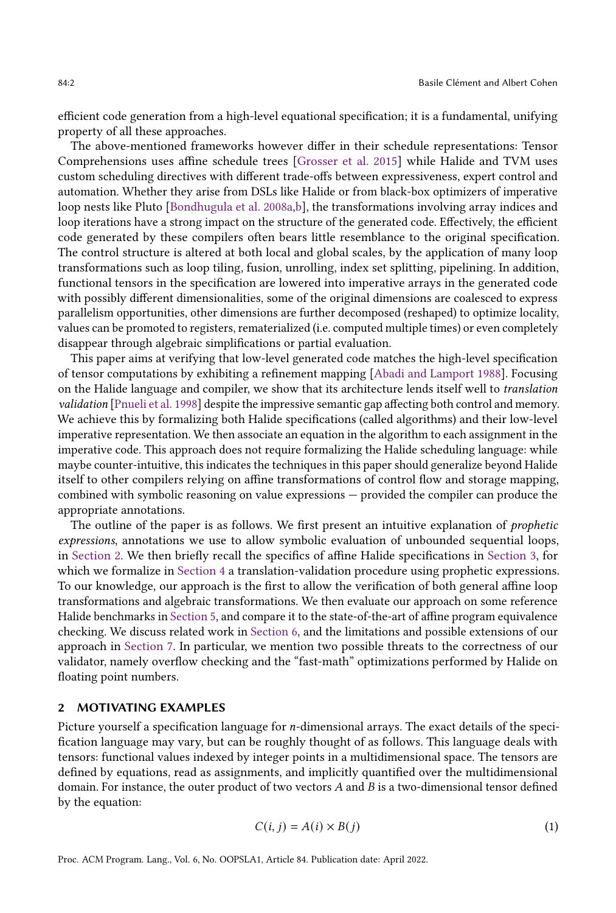efficient code generation from a high-level equational specification; it is a fundamental, unifying property of all these approaches.

The above-mentioned frameworks however differ in their schedule representations: Tensor Comprehensions uses affine schedule trees [\[Grosser et al.](#page-27-1) [2015\]](#page-27-1) while Halide and TVM uses custom scheduling directives with different trade-offs between expressiveness, expert control and automation. Whether they arise from DSLs like Halide or from black-box optimizers of imperative loop nests like Pluto [\[Bondhugula et al.](#page-27-2) [2008a](#page-27-2)[,b\]](#page-27-3), the transformations involving array indices and loop iterations have a strong impact on the structure of the generated code. Effectively, the efficient code generated by these compilers often bears little resemblance to the original specification. The control structure is altered at both local and global scales, by the application of many loop transformations such as loop tiling, fusion, unrolling, index set splitting, pipelining. In addition, functional tensors in the specification are lowered into imperative arrays in the generated code with possibly different dimensionalities, some of the original dimensions are coalesced to express parallelism opportunities, other dimensions are further decomposed (reshaped) to optimize locality, values can be promoted to registers, rematerialized (i.e. computed multiple times) or even completely disappear through algebraic simplifications or partial evaluation.

This paper aims at verifying that low-level generated code matches the high-level specification of tensor computations by exhibiting a refinement mapping [\[Abadi and Lamport](#page-26-0) [1988\]](#page-26-0). Focusing on the Halide language and compiler, we show that its architecture lends itself well to translation validation [\[Pnueli et al.](#page-28-5) [1998\]](#page-28-5) despite the impressive semantic gap affecting both control and memory. We achieve this by formalizing both Halide specifications (called algorithms) and their low-level imperative representation. We then associate an equation in the algorithm to each assignment in the imperative code. This approach does not require formalizing the Halide scheduling language: while maybe counter-intuitive, this indicates the techniques in this paper should generalize beyond Halide itself to other compilers relying on affine transformations of control flow and storage mapping, combined with symbolic reasoning on value expressions — provided the compiler can produce the appropriate annotations.

The outline of the paper is as follows. We first present an intuitive explanation of *prophetic* expressions, annotations we use to allow symbolic evaluation of unbounded sequential loops, in [Section 2.](#page-1-0) We then briefly recall the specifics of affine Halide specifications in [Section 3,](#page-4-0) for which we formalize in [Section 4](#page-8-0) a translation-validation procedure using prophetic expressions. To our knowledge, our approach is the first to allow the verification of both general affine loop transformations and algebraic transformations. We then evaluate our approach on some reference Halide benchmarks in [Section 5,](#page-18-0) and compare it to the state-of-the-art of affine program equivalence checking. We discuss related work in [Section 6,](#page-22-0) and the limitations and possible extensions of our approach in [Section 7.](#page-24-0) In particular, we mention two possible threats to the correctness of our validator, namely overflow checking and the "fast-math" optimizations performed by Halide on floating point numbers.

## <span id="page-1-0"></span>2 MOTIVATING EXAMPLES

Picture yourself a specification language for  $n$ -dimensional arrays. The exact details of the specification language may vary, but can be roughly thought of as follows. This language deals with tensors: functional values indexed by integer points in a multidimensional space. The tensors are defined by equations, read as assignments, and implicitly quantified over the multidimensional domain. For instance, the outer product of two vectors  $A$  and  $B$  is a two-dimensional tensor defined by the equation:

<span id="page-1-1"></span>
$$
C(i, j) = A(i) \times B(j)
$$
 (1)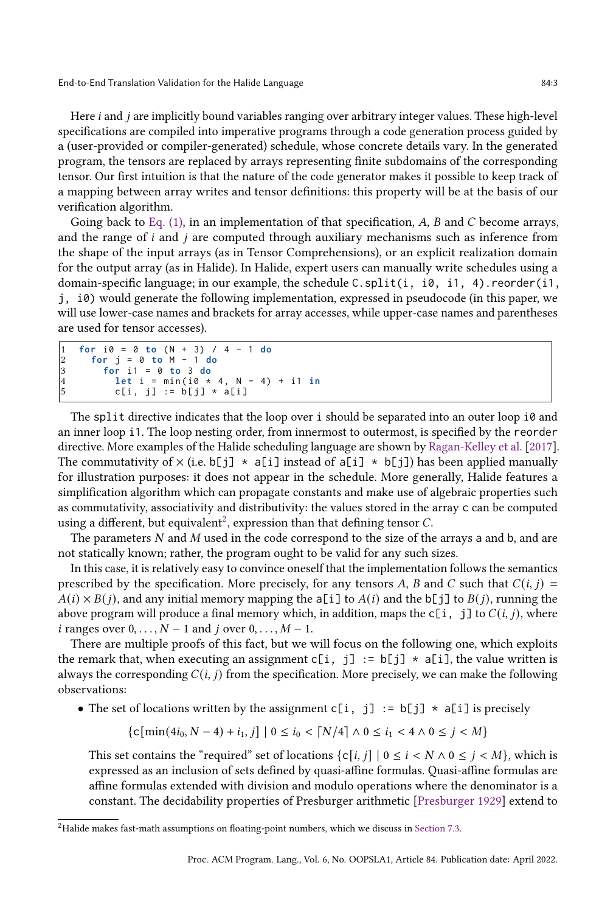Here  $i$  and  $j$  are implicitly bound variables ranging over arbitrary integer values. These high-level specifications are compiled into imperative programs through a code generation process guided by a (user-provided or compiler-generated) schedule, whose concrete details vary. In the generated program, the tensors are replaced by arrays representing finite subdomains of the corresponding tensor. Our first intuition is that the nature of the code generator makes it possible to keep track of a mapping between array writes and tensor definitions: this property will be at the basis of our verification algorithm.

Going back to [Eq. \(1\),](#page-1-1) in an implementation of that specification,  $A$ ,  $B$  and  $C$  become arrays, and the range of  $i$  and  $j$  are computed through auxiliary mechanisms such as inference from the shape of the input arrays (as in Tensor Comprehensions), or an explicit realization domain for the output array (as in Halide). In Halide, expert users can manually write schedules using a domain-specific language; in our example, the schedule C.split(i, i0, i1, 4).reorder(i1, j, i0) would generate the following implementation, expressed in pseudocode (in this paper, we will use lower-case names and brackets for array accesses, while upper-case names and parentheses are used for tensor accesses).

```
1 for i0 = 0 to ( N + 3) / 4 - 1 do
     2 for j = 0 to M - 1 do
3 for i1 = 0 to 3 do
4 let i = min ( i0 * 4 , N - 4) + i1 in
        c[i, j] := b[j] * a[i]
```
The split directive indicates that the loop over i should be separated into an outer loop  $i\theta$  and an inner loop i1. The loop nesting order, from innermost to outermost, is specified by the reorder directive. More examples of the Halide scheduling language are shown by [Ragan-Kelley et al.](#page-28-6) [\[2017\]](#page-28-6). The commutativity of  $\times$  (i.e. b[j]  $\star$  a[i] instead of a[i]  $\star$  b[j]) has been applied manually for illustration purposes: it does not appear in the schedule. More generally, Halide features a simplification algorithm which can propagate constants and make use of algebraic properties such as commutativity, associativity and distributivity: the values stored in the array c can be computed using a different, but equivalent $^2$  $^2$ , expression than that defining tensor  $C$ .

The parameters  $N$  and  $M$  used in the code correspond to the size of the arrays a and b, and are not statically known; rather, the program ought to be valid for any such sizes.

In this case, it is relatively easy to convince oneself that the implementation follows the semantics prescribed by the specification. More precisely, for any tensors A, B and C such that  $C(i, j)$  =  $A(i) \times B(j)$ , and any initial memory mapping the a[i] to  $A(i)$  and the b[j] to  $B(j)$ , running the above program will produce a final memory which, in addition, maps the  $c[i, j]$  to  $C(i, j)$ , where *i* ranges over  $0, \ldots, N-1$  and *j* over  $0, \ldots, M-1$ .

There are multiple proofs of this fact, but we will focus on the following one, which exploits the remark that, when executing an assignment c[i, j] :=  $b[j] \times a[i]$ , the value written is always the corresponding  $C(i, j)$  from the specification. More precisely, we can make the following observations:

• The set of locations written by the assignment  $c[i, j] := b[j] \times a[i]$  is precisely

 $\{c\{\min(4i_0, N-4) + i_1, j\} \mid 0 \leq i_0 < \lceil N/4 \rceil \wedge 0 \leq i_1 < 4 \wedge 0 \leq j < M\}$ 

This set contains the "required" set of locations  $\{c[i, j] | 0 \le i \le N \land 0 \le j \le M\}$ , which is expressed as an inclusion of sets defined by quasi-affine formulas. Quasi-affine formulas are affine formulas extended with division and modulo operations where the denominator is a constant. The decidability properties of Presburger arithmetic [\[Presburger](#page-28-7) [1929\]](#page-28-7) extend to

<span id="page-2-0"></span> $^{2}$ Halide makes fast-math assumptions on floating-point numbers, which we discuss in [Section 7.3.](#page-24-1)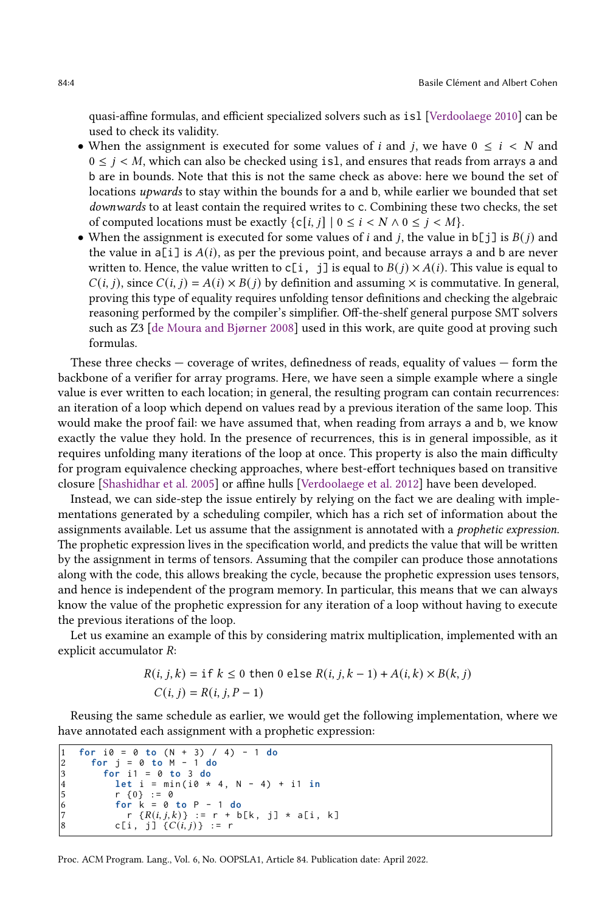quasi-affine formulas, and efficient specialized solvers such as isl [\[Verdoolaege](#page-29-3) [2010\]](#page-29-3) can be used to check its validity.

- When the assignment is executed for some values of *i* and *j*, we have  $0 \le i \le N$  and  $0 \le j \le M$ , which can also be checked using isl, and ensures that reads from arrays a and b are in bounds. Note that this is not the same check as above: here we bound the set of locations upwards to stay within the bounds for a and b, while earlier we bounded that set downwards to at least contain the required writes to c. Combining these two checks, the set of computed locations must be exactly  $\{c[i, j] \mid 0 \le i \le N \land 0 \le j \le M\}.$
- When the assignment is executed for some values of *i* and *j*, the value in  $b[j]$  is  $B(j)$  and the value in  $a[i]$  is  $A(i)$ , as per the previous point, and because arrays a and b are never written to. Hence, the value written to  $c[i, j]$  is equal to  $B(j) \times A(i)$ . This value is equal to  $C(i, j)$ , since  $C(i, j) = A(i) \times B(j)$  by definition and assuming  $\times$  is commutative. In general, proving this type of equality requires unfolding tensor definitions and checking the algebraic reasoning performed by the compiler's simplifier. Off-the-shelf general purpose SMT solvers such as Z3 [\[de Moura and Bjørner](#page-27-4) [2008\]](#page-27-4) used in this work, are quite good at proving such formulas.

These three checks  $-$  coverage of writes, definedness of reads, equality of values  $-$  form the backbone of a verifier for array programs. Here, we have seen a simple example where a single value is ever written to each location; in general, the resulting program can contain recurrences: an iteration of a loop which depend on values read by a previous iteration of the same loop. This would make the proof fail: we have assumed that, when reading from arrays a and b, we know exactly the value they hold. In the presence of recurrences, this is in general impossible, as it requires unfolding many iterations of the loop at once. This property is also the main difficulty for program equivalence checking approaches, where best-effort techniques based on transitive closure [\[Shashidhar et al.](#page-28-8) [2005\]](#page-28-8) or affine hulls [\[Verdoolaege et al.](#page-29-4) [2012\]](#page-29-4) have been developed.

Instead, we can side-step the issue entirely by relying on the fact we are dealing with implementations generated by a scheduling compiler, which has a rich set of information about the assignments available. Let us assume that the assignment is annotated with a prophetic expression. The prophetic expression lives in the specification world, and predicts the value that will be written by the assignment in terms of tensors. Assuming that the compiler can produce those annotations along with the code, this allows breaking the cycle, because the prophetic expression uses tensors, and hence is independent of the program memory. In particular, this means that we can always know the value of the prophetic expression for any iteration of a loop without having to execute the previous iterations of the loop.

Let us examine an example of this by considering matrix multiplication, implemented with an explicit accumulator *:* 

$$
R(i, j, k) = \text{if } k \le 0 \text{ then } 0 \text{ else } R(i, j, k - 1) + A(i, k) \times B(k, j)
$$
  

$$
C(i, j) = R(i, j, P - 1)
$$

Reusing the same schedule as earlier, we would get the following implementation, where we have annotated each assignment with a prophetic expression:

```
1 for i0 = 0 to ( N + 3) / 4) - 1 do
       2 for j = 0 to M - 1 do
         3 for i1 = 0 to 3 do
4 let i = min ( i0 * 4 , N - 4) + i1 in
5 r \{0\} := 0<br>
6 r \{10\} = 0<br>
7 r \{R(i, j, k)\}6 for k = 0 to P - 1 do
7 r \{R(i, j, k)\} := r + b[k, j] * a[i, k]<br>8 c[i, j] \{C(i, j)\} := rc[i, j] \{C(i, j)\} := r
```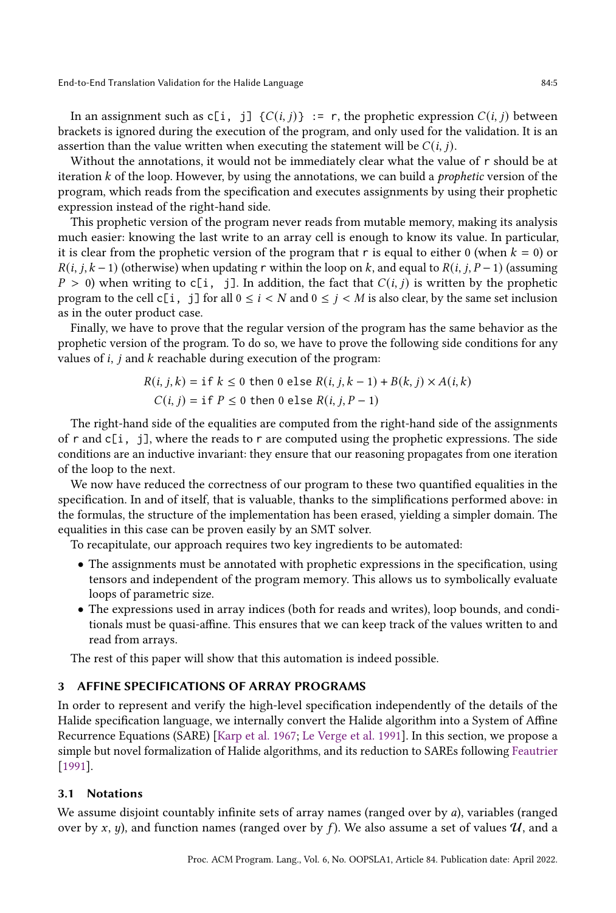In an assignment such as  $c[i, j]$  { $C(i, j)$ } := r, the prophetic expression  $C(i, j)$  between brackets is ignored during the execution of the program, and only used for the validation. It is an assertion than the value written when executing the statement will be  $C(i, j)$ .

Without the annotations, it would not be immediately clear what the value of r should be at iteration  $k$  of the loop. However, by using the annotations, we can build a *prophetic* version of the program, which reads from the specification and executes assignments by using their prophetic expression instead of the right-hand side.

This prophetic version of the program never reads from mutable memory, making its analysis much easier: knowing the last write to an array cell is enough to know its value. In particular, it is clear from the prophetic version of the program that r is equal to either 0 (when  $k = 0$ ) or  $R(i, j, k-1)$  (otherwise) when updating r within the loop on k, and equal to  $R(i, j, P-1)$  (assuming  $P > 0$ ) when writing to c[i, j]. In addition, the fact that  $C(i, j)$  is written by the prophetic program to the cell  $c[i, j]$  for all  $0 \le i < N$  and  $0 \le j < M$  is also clear, by the same set inclusion as in the outer product case.

Finally, we have to prove that the regular version of the program has the same behavior as the prophetic version of the program. To do so, we have to prove the following side conditions for any values of  $i$ ,  $j$  and  $k$  reachable during execution of the program:

$$
R(i, j, k) = \text{if } k \le 0 \text{ then } 0 \text{ else } R(i, j, k - 1) + B(k, j) \times A(i, k)
$$
  

$$
C(i, j) = \text{if } P \le 0 \text{ then } 0 \text{ else } R(i, j, P - 1)
$$

The right-hand side of the equalities are computed from the right-hand side of the assignments of  $r$  and  $c[i, j]$ , where the reads to  $r$  are computed using the prophetic expressions. The side conditions are an inductive invariant: they ensure that our reasoning propagates from one iteration of the loop to the next.

We now have reduced the correctness of our program to these two quantified equalities in the specification. In and of itself, that is valuable, thanks to the simplifications performed above: in the formulas, the structure of the implementation has been erased, yielding a simpler domain. The equalities in this case can be proven easily by an SMT solver.

To recapitulate, our approach requires two key ingredients to be automated:

- The assignments must be annotated with prophetic expressions in the specification, using tensors and independent of the program memory. This allows us to symbolically evaluate loops of parametric size.
- The expressions used in array indices (both for reads and writes), loop bounds, and conditionals must be quasi-affine. This ensures that we can keep track of the values written to and read from arrays.

The rest of this paper will show that this automation is indeed possible.

## <span id="page-4-0"></span>3 AFFINE SPECIFICATIONS OF ARRAY PROGRAMS

In order to represent and verify the high-level specification independently of the details of the Halide specification language, we internally convert the Halide algorithm into a System of Affine Recurrence Equations (SARE) [\[Karp et al.](#page-28-9) [1967;](#page-28-9) [Le Verge et al.](#page-28-10) [1991\]](#page-28-10). In this section, we propose a simple but novel formalization of Halide algorithms, and its reduction to SAREs following [Feautrier](#page-27-5) [\[1991\]](#page-27-5).

#### 3.1 Notations

We assume disjoint countably infinite sets of array names (ranged over by  $a$ ), variables (ranged over by x, y), and function names (ranged over by f). We also assume a set of values  $\mathcal{U}$ , and a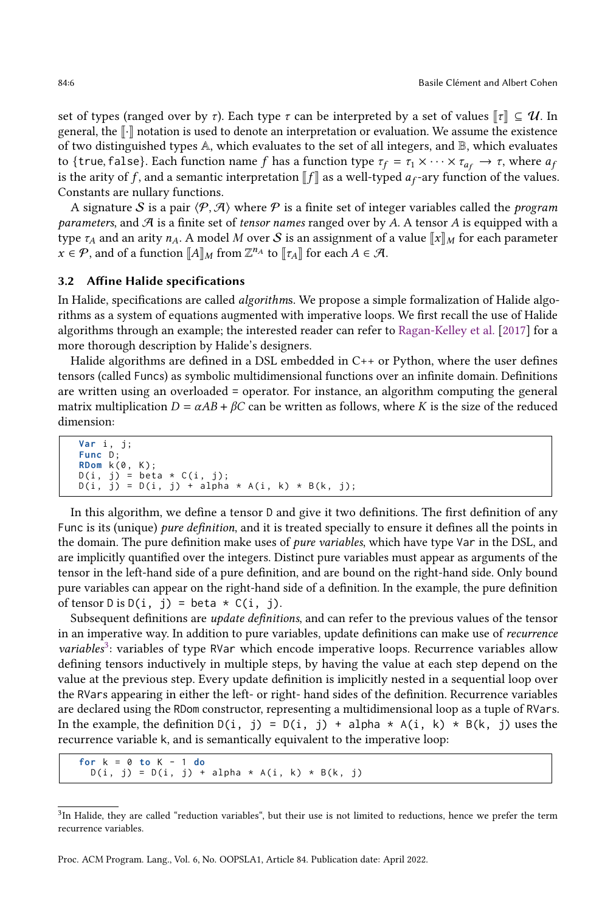set of types (ranged over by  $\tau$ ). Each type  $\tau$  can be interpreted by a set of values  $\Vert \tau \Vert \subseteq \mathcal{U}$ . In general, the  $\lVert \cdot \rVert$  notation is used to denote an interpretation or evaluation. We assume the existence of two distinguished types A, which evaluates to the set of all integers, and B, which evaluates to {true, false}. Each function name f has a function type  $\tau_f = \tau_1 \times \cdots \times \tau_{a_f} \to \tau$ , where  $a_f$ is the arity of f, and a semantic interpretation  $\llbracket f \rrbracket$  as a well-typed  $a_f$ -ary function of the values. Constants are nullary functions.

A signature S is a pair  $\langle P, A \rangle$  where P is a finite set of integer variables called the *program* parameters, and  $\mathcal A$  is a finite set of tensor names ranged over by A. A tensor A is equipped with a type  $\tau_A$  and an arity  $n_A$ . A model M over S is an assignment of a value  $\llbracket x \rrbracket_M$  for each parameter  $x \in \mathcal{P}$ , and of a function  $[[A]]_M$  from  $\mathbb{Z}^{n_A}$  to  $[[\tau_A]]$  for each  $A \in \mathcal{A}$ .

#### 3.2 Affine Halide specifications

In Halide, specifications are called *algorithms*. We propose a simple formalization of Halide algorithms as a system of equations augmented with imperative loops. We first recall the use of Halide algorithms through an example; the interested reader can refer to [Ragan-Kelley et al.](#page-28-6) [\[2017\]](#page-28-6) for a more thorough description by Halide's designers.

Halide algorithms are defined in a DSL embedded in C++ or Python, where the user defines tensors (called Funcs) as symbolic multidimensional functions over an infinite domain. Definitions are written using an overloaded = operator. For instance, an algorithm computing the general matrix multiplication  $D = \alpha AB + \beta C$  can be written as follows, where K is the size of the reduced dimension:

```
Var i , j ;
Func D ;
RDom k(0, K);
D(i, j) = beta * C(i, j);D(i, j) = D(i, j) + alpha * A(i, k) * B(k, j);
```
In this algorithm, we define a tensor D and give it two definitions. The first definition of any Func is its (unique) pure definition, and it is treated specially to ensure it defines all the points in the domain. The pure definition make uses of *pure variables*, which have type Var in the DSL, and are implicitly quantified over the integers. Distinct pure variables must appear as arguments of the tensor in the left-hand side of a pure definition, and are bound on the right-hand side. Only bound pure variables can appear on the right-hand side of a definition. In the example, the pure definition of tensor  $D$  is  $D(i, j) = \text{beta} * C(i, j)$ .

Subsequent definitions are update definitions, and can refer to the previous values of the tensor in an imperative way. In addition to pure variables, update definitions can make use of recurrence variables<sup>[3](#page-5-0)</sup>: variables of type RVar which encode imperative loops. Recurrence variables allow defining tensors inductively in multiple steps, by having the value at each step depend on the value at the previous step. Every update definition is implicitly nested in a sequential loop over the RVars appearing in either the left- or right- hand sides of the definition. Recurrence variables are declared using the RDom constructor, representing a multidimensional loop as a tuple of RVars. In the example, the definition  $D(i, j) = D(i, j) + alpha * A(i, k) * B(k, j)$  uses the recurrence variable k, and is semantically equivalent to the imperative loop:

```
for k = 0 to K - 1 do
 D(i, j) = D(i, j) + alpha * A(i, k) * B(k, j)
```
<span id="page-5-0"></span> ${}^{3}$ In Halide, they are called "reduction variables", but their use is not limited to reductions, hence we prefer the term recurrence variables.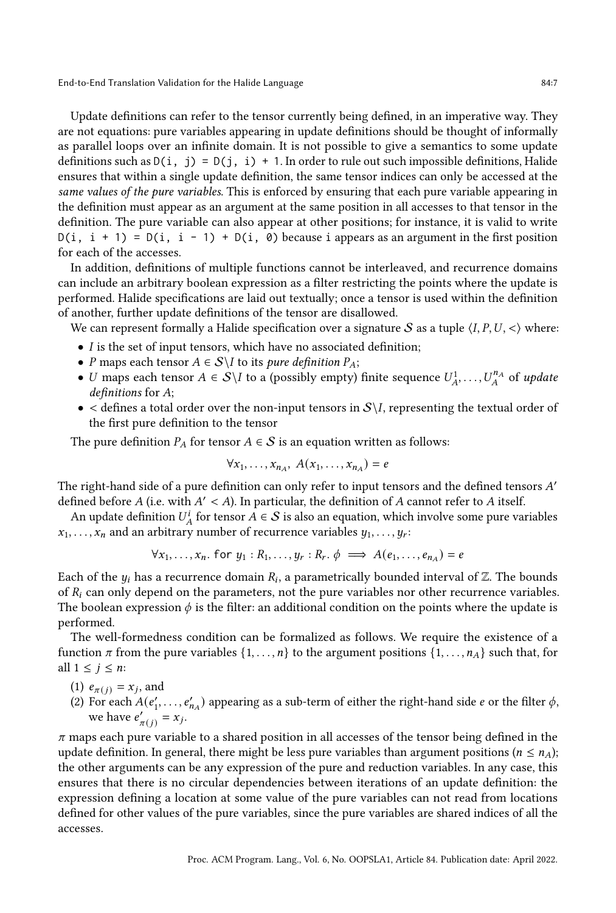Update definitions can refer to the tensor currently being defined, in an imperative way. They are not equations: pure variables appearing in update definitions should be thought of informally as parallel loops over an infinite domain. It is not possible to give a semantics to some update definitions such as  $D(i, j) = D(j, i) + 1$ . In order to rule out such impossible definitions, Halide ensures that within a single update definition, the same tensor indices can only be accessed at the same values of the pure variables. This is enforced by ensuring that each pure variable appearing in the definition must appear as an argument at the same position in all accesses to that tensor in the definition. The pure variable can also appear at other positions; for instance, it is valid to write  $D(i, i + 1) = D(i, i - 1) + D(i, 0)$  because i appears as an argument in the first position for each of the accesses.

In addition, definitions of multiple functions cannot be interleaved, and recurrence domains can include an arbitrary boolean expression as a filter restricting the points where the update is performed. Halide specifications are laid out textually; once a tensor is used within the definition of another, further update definitions of the tensor are disallowed.

We can represent formally a Halide specification over a signature S as a tuple  $\langle I, P, U, \langle \rangle$  where:

- $\bullet$  I is the set of input tensors, which have no associated definition;
- *P* maps each tensor  $A \in S \backslash I$  to its *pure definition*  $P_A$ ;
- U maps each tensor  $A \in S \backslash I$  to a (possibly empty) finite sequence  $U_A^1, \ldots, U_A^{n_A}$  of update  $definitions for A;$
- $\bullet$  < defines a total order over the non-input tensors in  $S\setminus I$ , representing the textual order of the first pure definition to the tensor

The pure definition  $P_A$  for tensor  $A \in S$  is an equation written as follows:

$$
\forall x_1, \ldots, x_{n_A}, A(x_1, \ldots, x_{n_A}) = e
$$

The right-hand side of a pure definition can only refer to input tensors and the defined tensors  $A'$ defined before A (i.e. with  $A' < A$ ). In particular, the definition of A cannot refer to A itself.

An update definition  $U_A^i$  for tensor  $A \in \mathcal{S}$  is also an equation, which involve some pure variables  $\overline{x}_1, \ldots, \overline{x}_n$  and an arbitrary number of recurrence variables  $y_1, \ldots, y_r$ :

$$
\forall x_1, \ldots, x_n. \text{ for } y_1 : R_1, \ldots, y_r : R_r. \phi \implies A(e_1, \ldots, e_{n_A}) = e
$$

Each of the  $y_i$  has a recurrence domain  $R_i$ , a parametrically bounded interval of  $\mathbb Z$ . The bounds of  $R_i$  can only depend on the parameters, not the pure variables nor other recurrence variables. The boolean expression  $\phi$  is the filter: an additional condition on the points where the update is performed.

The well-formedness condition can be formalized as follows. We require the existence of a function  $\pi$  from the pure variables  $\{1, \ldots, n\}$  to the argument positions  $\{1, \ldots, n_A\}$  such that, for all  $1 \leq j \leq n$ :

- (1)  $e_{\pi(j)} = x_j$ , and
- (2) For each  $A(e'_1, \ldots, e'_{n_A})$  appearing as a sub-term of either the right-hand side e or the filter  $\phi$ , we have  $e'_{\pi(j)} = x_j$ .

 $\pi$  maps each pure variable to a shared position in all accesses of the tensor being defined in the update definition. In general, there might be less pure variables than argument positions ( $n \le n_A$ ); the other arguments can be any expression of the pure and reduction variables. In any case, this ensures that there is no circular dependencies between iterations of an update definition: the expression defining a location at some value of the pure variables can not read from locations defined for other values of the pure variables, since the pure variables are shared indices of all the accesses.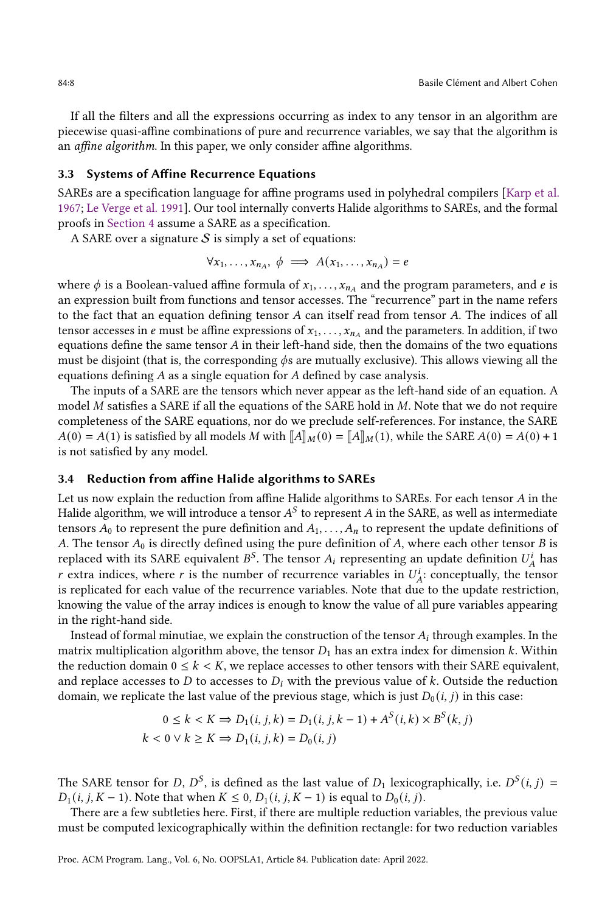If all the filters and all the expressions occurring as index to any tensor in an algorithm are piecewise quasi-affine combinations of pure and recurrence variables, we say that the algorithm is an affine algorithm. In this paper, we only consider affine algorithms.

#### 3.3 Systems of Affine Recurrence Equations

SAREs are a specification language for affine programs used in polyhedral compilers [\[Karp et al.](#page-28-9) [1967;](#page-28-9) [Le Verge et al.](#page-28-10) [1991\]](#page-28-10). Our tool internally converts Halide algorithms to SAREs, and the formal proofs in [Section 4](#page-8-0) assume a SARE as a specification.

A SARE over a signature  $S$  is simply a set of equations:

$$
\forall x_1, \ldots, x_{n_A}, \phi \implies A(x_1, \ldots, x_{n_A}) = e
$$

where  $\phi$  is a Boolean-valued affine formula of  $x_1, \ldots, x_{n_A}$  and the program parameters, and e is an expression built from functions and tensor accesses. The "recurrence" part in the name refers to the fact that an equation defining tensor  $A$  can itself read from tensor  $A$ . The indices of all tensor accesses in e must be affine expressions of  $x_1, \ldots, x_{n_A}$  and the parameters. In addition, if two equations define the same tensor  $A$  in their left-hand side, then the domains of the two equations must be disjoint (that is, the corresponding  $\phi$ s are mutually exclusive). This allows viewing all the equations defining  $A$  as a single equation for  $A$  defined by case analysis.

The inputs of a SARE are the tensors which never appear as the left-hand side of an equation. A model  $M$  satisfies a SARE if all the equations of the SARE hold in  $M$ . Note that we do not require completeness of the SARE equations, nor do we preclude self-references. For instance, the SARE  $A(0) = A(1)$  is satisfied by all models M with  $\llbracket A \rrbracket_M(0) = \llbracket A \rrbracket_M(1)$ , while the SARE  $A(0) = A(0) + 1$ is not satisfied by any model.

#### 3.4 Reduction from affine Halide algorithms to SAREs

Let us now explain the reduction from affine Halide algorithms to SAREs. For each tensor  $A$  in the Halide algorithm, we will introduce a tensor  $A^S$  to represent A in the SARE, as well as intermediate tensors  $A_0$  to represent the pure definition and  $A_1, \ldots, A_n$  to represent the update definitions of A. The tensor  $A_0$  is directly defined using the pure definition of A, where each other tensor B is replaced with its SARE equivalent  $B^S$ . The tensor  $A_i$  representing an update definition  $U_A^i$  has r extra indices, where r is the number of recurrence variables in  $U_A^i$ : conceptually, the tensor is replicated for each value of the recurrence variables. Note that due to the update restriction, knowing the value of the array indices is enough to know the value of all pure variables appearing in the right-hand side.

Instead of formal minutiae, we explain the construction of the tensor  $A_i$  through examples. In the matrix multiplication algorithm above, the tensor  $D_1$  has an extra index for dimension k. Within the reduction domain  $0 \le k \le K$ , we replace accesses to other tensors with their SARE equivalent, and replace accesses to  $D$  to accesses to  $D_i$  with the previous value of k. Outside the reduction domain, we replicate the last value of the previous stage, which is just  $D_0(i, j)$  in this case:

$$
0 \le k < K \Rightarrow D_1(i, j, k) = D_1(i, j, k - 1) + A^S(i, k) \times B^S(k, j)
$$
\n
$$
k < 0 \lor k \ge K \Rightarrow D_1(i, j, k) = D_0(i, j)
$$

The SARE tensor for D,  $D^S$ , is defined as the last value of  $D_1$  lexicographically, i.e.  $D^S(i, j) =$  $D_1(i, j, K - 1)$ . Note that when  $K \le 0$ ,  $D_1(i, j, K - 1)$  is equal to  $D_0(i, j)$ .

There are a few subtleties here. First, if there are multiple reduction variables, the previous value must be computed lexicographically within the definition rectangle: for two reduction variables

Proc. ACM Program. Lang., Vol. 6, No. OOPSLA1, Article 84. Publication date: April 2022.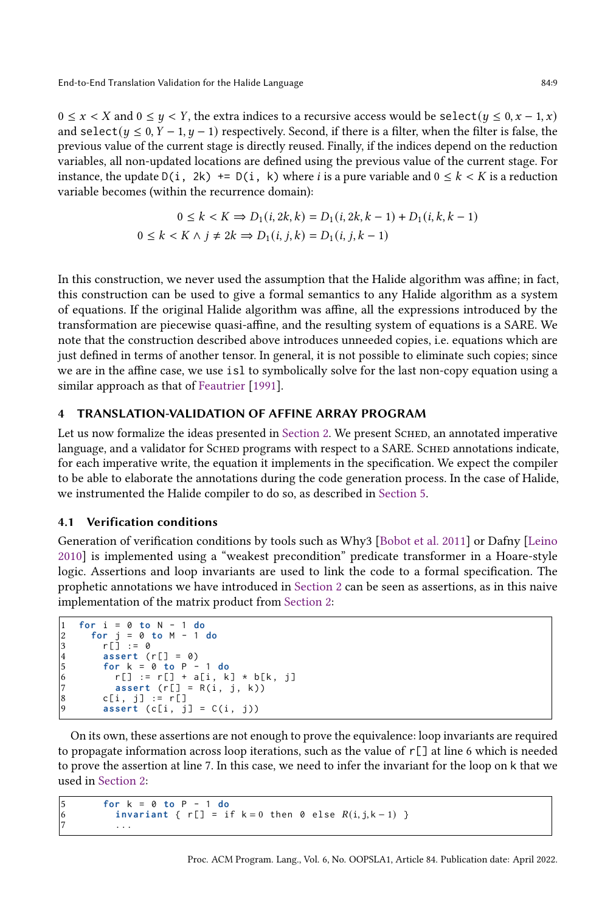$0 \le x < X$  and  $0 \le y < Y$ , the extra indices to a recursive access would be select  $(y \le 0, x - 1, x)$ and select( $y \le 0$ ,  $Y - 1$ ,  $y - 1$ ) respectively. Second, if there is a filter, when the filter is false, the previous value of the current stage is directly reused. Finally, if the indices depend on the reduction variables, all non-updated locations are defined using the previous value of the current stage. For instance, the update  $D(i, 2k)$  +=  $D(i, k)$  where *i* is a pure variable and  $0 \le k \le K$  is a reduction variable becomes (within the recurrence domain):

$$
0 \le k < K \Rightarrow D_1(i, 2k, k) = D_1(i, 2k, k - 1) + D_1(i, k, k - 1)
$$
\n
$$
0 \le k < K \land j \ne 2k \Rightarrow D_1(i, j, k) = D_1(i, j, k - 1)
$$

In this construction, we never used the assumption that the Halide algorithm was affine; in fact, this construction can be used to give a formal semantics to any Halide algorithm as a system of equations. If the original Halide algorithm was affine, all the expressions introduced by the transformation are piecewise quasi-affine, and the resulting system of equations is a SARE. We note that the construction described above introduces unneeded copies, i.e. equations which are just defined in terms of another tensor. In general, it is not possible to eliminate such copies; since we are in the affine case, we use isl to symbolically solve for the last non-copy equation using a similar approach as that of [Feautrier](#page-27-5) [\[1991\]](#page-27-5).

## <span id="page-8-0"></span>4 TRANSLATION-VALIDATION OF AFFINE ARRAY PROGRAM

Let us now formalize the ideas presented in [Section 2.](#page-1-0) We present SCHED, an annotated imperative language, and a validator for SCHED programs with respect to a SARE. SCHED annotations indicate, for each imperative write, the equation it implements in the specification. We expect the compiler to be able to elaborate the annotations during the code generation process. In the case of Halide, we instrumented the Halide compiler to do so, as described in [Section 5.](#page-18-0)

#### 4.1 Verification conditions

Generation of verification conditions by tools such as Why3 [\[Bobot et al.](#page-27-6) [2011\]](#page-27-6) or Dafny [\[Leino](#page-28-11) [2010\]](#page-28-11) is implemented using a "weakest precondition" predicate transformer in a Hoare-style logic. Assertions and loop invariants are used to link the code to a formal specification. The prophetic annotations we have introduced in [Section 2](#page-1-0) can be seen as assertions, as in this naive implementation of the matrix product from [Section 2:](#page-1-0)

```
1 for i = 0 to N - 1 do
2 for j = 0 to M - 1 do
              r[\ ] := 04 assert (r[] = 0)<br>5 for k = 0 to P -
              5 for k = 0 to P - 1 do
\begin{array}{lll} 6 & \text{r}[] & := & \text{r}[ ] & + & \text{a}[i, k] & * & \text{b}[k, j] \\ 7 & \text{assert} & (\text{r}[ ] & = & \text{R}(i, j, k)) \end{array}7 assert (r[] = R(i, j, k))<br>8 c[i, i] := r[]
\begin{array}{lll} 8 & c[i, j] & := r[j] \\ 9 & \text{assert}(c[i, j]) \end{array}\textsf{assert}( c[i, j] = C(i, j))
```
On its own, these assertions are not enough to prove the equivalence: loop invariants are required to propagate information across loop iterations, such as the value of  $r[\ ]$  at line 6 which is needed to prove the assertion at line 7. In this case, we need to infer the invariant for the loop on k that we used in [Section 2:](#page-1-0)

```
5 for k = 0 to P - 1 do
6 invariant { r[] = if k = 0 then 0 else R(i, j, k - 1) }
         7 ...
```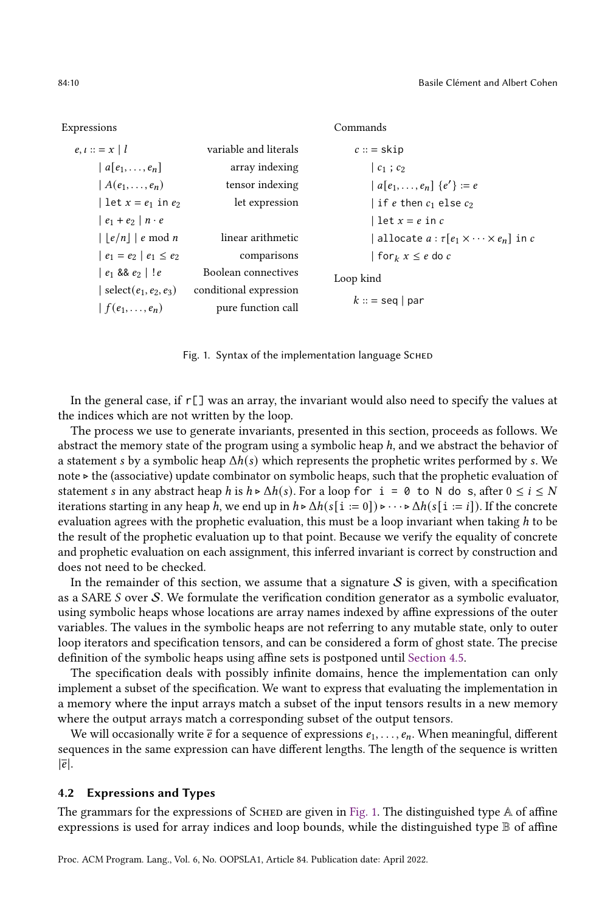Expressions

```
e, i ::= x \mid l variable and literals
    | a[e_1, \ldots, e_n] array indexing
     | A(e_1, \ldots, e_n) tensor indexing
     | let x = e_1 in e_2 let expression
     | e_1 + e_2 | n \cdot e||e/n|| e \bmod n linear arithmetic
     | e_1 = e_2 | e_1 \le e_2 comparisons
     | e_1 88 e_2 | ! e_3 88 e_1 1 Boolean connectives
     | select(e_1, e_2, e_3) conditional expression
     | f(e_1, \ldots, e_n) pure function call
                                                            c::= skip
                                                               | c_1 ; c_2|a[e_1, \ldots, e_n] \{e'\} := e| if e then c_1 else c_2| let x = e in c| allocate a : \tau[e_1 \times \cdots \times e_n] in c
                                                                | for_k x \le e do cLoop kind
                                                            k::= seq | par
```
Commands

Fig. 1. Syntax of the implementation language SCHED

In the general case, if  $r[\ ]$  was an array, the invariant would also need to specify the values at the indices which are not written by the loop.

The process we use to generate invariants, presented in this section, proceeds as follows. We abstract the memory state of the program using a symbolic heap ℎ, and we abstract the behavior of a statement *s* by a symbolic heap  $\Delta h(s)$  which represents the prophetic writes performed by *s*. We note ⊲ the (associative) update combinator on symbolic heaps, such that the prophetic evaluation of statement *s* in any abstract heap *h* is  $h \triangleright \Delta h(s)$ . For a loop for  $i = 0$  to N do s, after  $0 \le i \le N$ iterations starting in any heap h, we end up in  $h \triangleright \Delta h(s[i := 0]) \triangleright \cdots \triangleright \Delta h(s[i := i])$ . If the concrete evaluation agrees with the prophetic evaluation, this must be a loop invariant when taking  $h$  to be the result of the prophetic evaluation up to that point. Because we verify the equality of concrete and prophetic evaluation on each assignment, this inferred invariant is correct by construction and does not need to be checked.

In the remainder of this section, we assume that a signature  $S$  is given, with a specification as a SARE  $S$  over  $S$ . We formulate the verification condition generator as a symbolic evaluator, using symbolic heaps whose locations are array names indexed by affine expressions of the outer variables. The values in the symbolic heaps are not referring to any mutable state, only to outer loop iterators and specification tensors, and can be considered a form of ghost state. The precise definition of the symbolic heaps using affine sets is postponed until [Section 4.5.](#page-15-0)

The specification deals with possibly infinite domains, hence the implementation can only implement a subset of the specification. We want to express that evaluating the implementation in a memory where the input arrays match a subset of the input tensors results in a new memory where the output arrays match a corresponding subset of the output tensors.

We will occasionally write  $\bar{e}$  for a sequence of expressions  $e_1, \ldots, e_n$ . When meaningful, different sequences in the same expression can have different lengths. The length of the sequence is written  $|\overline{e}|.$ 

## 4.2 Expressions and Types

The grammars for the expressions of SCHED are given in [Fig. 1.](#page-9-0) The distinguished type  $A$  of affine expressions is used for array indices and loop bounds, while the distinguished type  $\mathbb B$  of affine

<span id="page-9-0"></span>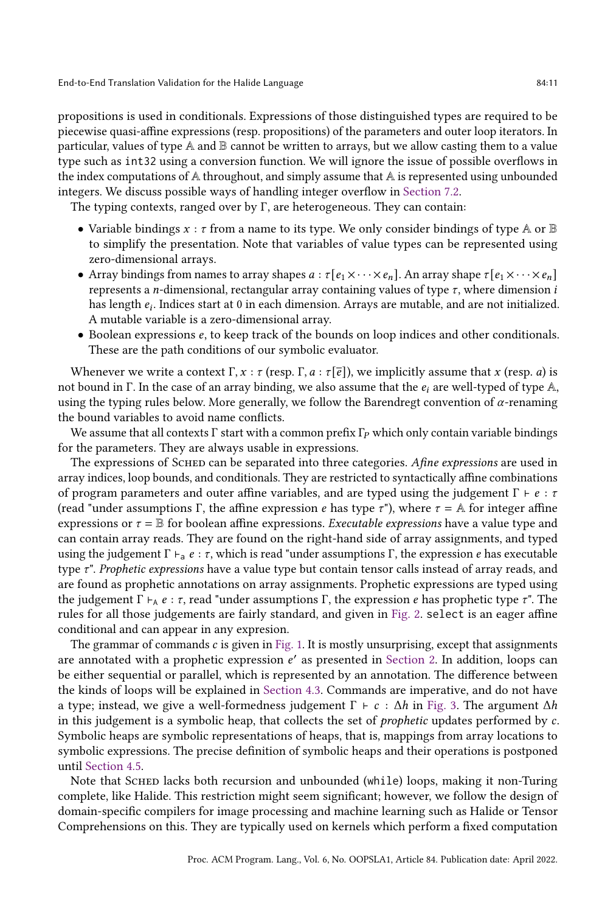propositions is used in conditionals. Expressions of those distinguished types are required to be piecewise quasi-affine expressions (resp. propositions) of the parameters and outer loop iterators. In particular, values of type  $A$  and  $B$  cannot be written to arrays, but we allow casting them to a value type such as int32 using a conversion function. We will ignore the issue of possible overflows in the index computations of  $A$  throughout, and simply assume that  $A$  is represented using unbounded integers. We discuss possible ways of handling integer overflow in [Section 7.2.](#page-24-2)

The typing contexts, ranged over by Γ, are heterogeneous. They can contain:

- Variable bindings  $x : \tau$  from a name to its type. We only consider bindings of type  $A$  or  $B$ to simplify the presentation. Note that variables of value types can be represented using zero-dimensional arrays.
- Array bindings from names to array shapes  $a : \tau [e_1 \times \cdots \times e_n]$ . An array shape  $\tau [e_1 \times \cdots \times e_n]$ represents a *n*-dimensional, rectangular array containing values of type  $\tau$ , where dimension *i* has length  $e_i$ . Indices start at 0 in each dimension. Arrays are mutable, and are not initialized. A mutable variable is a zero-dimensional array.
- Boolean expressions  $e$ , to keep track of the bounds on loop indices and other conditionals. These are the path conditions of our symbolic evaluator.

Whenever we write a context  $\Gamma, x : \tau$  (resp.  $\Gamma, a : \tau[\bar{e}]$ ), we implicitly assume that x (resp. a) is not bound in Γ. In the case of an array binding, we also assume that the  $e_i$  are well-typed of type A, using the typing rules below. More generally, we follow the Barendregt convention of  $\alpha$ -renaming the bound variables to avoid name conflicts.

We assume that all contexts  $\Gamma$  start with a common prefix  $\Gamma_P$  which only contain variable bindings for the parameters. They are always usable in expressions.

The expressions of SCHED can be separated into three categories. Afine expressions are used in array indices, loop bounds, and conditionals. They are restricted to syntactically affine combinations of program parameters and outer affine variables, and are typed using the judgement  $\Gamma \vdash e : \tau$ (read "under assumptions Γ, the affine expression *e* has type  $\tau$ "), where  $\tau = A$  for integer affine expressions or  $\tau = \mathbb{B}$  for boolean affine expressions. Executable expressions have a value type and can contain array reads. They are found on the right-hand side of array assignments, and typed using the judgement  $\Gamma \vdash_{a} e : \tau$ , which is read "under assumptions  $\Gamma$ , the expression  $e$  has executable type  $\tau$ ". Prophetic expressions have a value type but contain tensor calls instead of array reads, and are found as prophetic annotations on array assignments. Prophetic expressions are typed using the judgement Γ  $\vdash$   $\vdash$   $e : \tau$ , read "under assumptions Γ, the expression *e* has prophetic type  $\tau$ ". The rules for all those judgements are fairly standard, and given in [Fig. 2.](#page-11-0) select is an eager affine conditional and can appear in any expresion.

The grammar of commands  $c$  is given in [Fig. 1.](#page-9-0) It is mostly unsurprising, except that assignments are annotated with a prophetic expression  $e'$  as presented in [Section 2.](#page-1-0) In addition, loops can be either sequential or parallel, which is represented by an annotation. The difference between the kinds of loops will be explained in [Section 4.3.](#page-12-0) Commands are imperative, and do not have a type; instead, we give a well-formedness judgement  $\Gamma \vdash c : \Delta h$  in [Fig. 3.](#page-11-1) The argument  $\Delta h$ in this judgement is a symbolic heap, that collects the set of *prophetic* updates performed by  $c$ . Symbolic heaps are symbolic representations of heaps, that is, mappings from array locations to symbolic expressions. The precise definition of symbolic heaps and their operations is postponed until [Section 4.5.](#page-15-0)

Note that SCHED lacks both recursion and unbounded (while) loops, making it non-Turing complete, like Halide. This restriction might seem significant; however, we follow the design of domain-specific compilers for image processing and machine learning such as Halide or Tensor Comprehensions on this. They are typically used on kernels which perform a fixed computation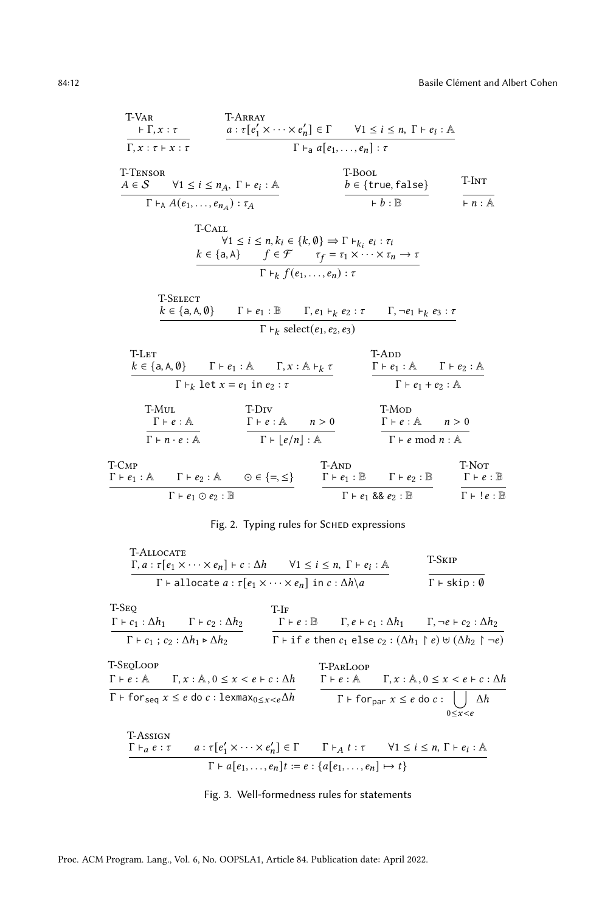<span id="page-11-0"></span>T-Var  
\nF,Y:
$$
\tau
$$
  
\n $\tau$   
\n $\tau$   
\n $\tau$   
\n $\tau$   
\n $\tau$   
\n $\tau$   
\n $\tau$   
\n $\tau$   
\n $\tau$   
\n $\tau$   
\n $\tau$   
\n $\tau$   
\n $\tau$   
\n $\tau$   
\n $\tau$   
\n $\tau$   
\n $\tau$   
\n $\tau$   
\n $\tau$   
\n $\tau$   
\n $\tau$   
\n $\tau$   
\n $\tau$   
\n $\tau$   
\n $\tau$   
\n $\tau$   
\n $\tau$   
\n $\tau$   
\n $\tau$   
\n $\tau$   
\n $\tau$   
\n $\tau$   
\n $\tau$   
\n $\tau$   
\n $\tau$   
\n $\tau$   
\n $\tau$   
\n $\tau$   
\n $\tau$   
\n $\tau$   
\n $\tau$   
\n $\tau$   
\n $\tau$   
\n $\tau$   
\n $\tau$   
\n $\tau$   
\n $\tau$   
\n $\tau$   
\n $\tau$   
\n $\tau$   
\n $\tau$   
\n $\tau$   
\n $\tau$   
\n $\tau$   
\n $\tau$   
\n $\tau$   
\n $\tau$   
\n $\tau$   
\n $\tau$   
\n $\tau$   
\n $\tau$   
\n $\tau$   
\n $\tau$   
\n $\tau$   
\n $\tau$   
\n $\tau$   
\n $\tau$   
\n $\tau$   
\n $\tau$   
\n $\tau$   
\n $\tau$   
\n $\tau$   
\n $\tau$   
\n $\tau$   
\n $\tau$ <

## Fig. 2. Typing rules for SCHED expressions

<span id="page-11-1"></span>

| <b>T-ALLOCATE</b><br>$\Gamma, a : \tau[e_1 \times \cdots \times e_n] \vdash c : \Delta h$ $\forall 1 \leq i \leq n, \Gamma \vdash e_i : \mathbb{A}$ |                                                                                                                                           |                                                       | T-Skip                                                                                                              |
|-----------------------------------------------------------------------------------------------------------------------------------------------------|-------------------------------------------------------------------------------------------------------------------------------------------|-------------------------------------------------------|---------------------------------------------------------------------------------------------------------------------|
| $\Gamma$ + allocate $a : \tau[e_1 \times \cdots \times e_n]$ in $c : \Delta h \setminus a$                                                          | $\Gamma \vdash$ skip: $\emptyset$                                                                                                         |                                                       |                                                                                                                     |
| T-Seq<br>$\Gamma$ + $c_1$ : $\Delta h_1$ $\Gamma$ + $c_2$ : $\Delta h_2$                                                                            | $T-IF$                                                                                                                                    |                                                       | $\Gamma \vdash e : \mathbb{B}$ $\Gamma, e \vdash c_1 : \Delta h_1$ $\Gamma, \neg e \vdash c_2 : \Delta h_2$         |
| $\Gamma \vdash c_1 : c_2 : \Delta h_1 \triangleright \Delta h_2$                                                                                    |                                                                                                                                           |                                                       | $\Gamma$ + if e then $c_1$ else $c_2$ : $(\Delta h_1 \upharpoonright e) \uplus (\Delta h_2 \upharpoonright \neg e)$ |
| T-SeoLoop<br>$\Gamma \vdash e : \mathbb{A}$ $\Gamma, x : \mathbb{A}, 0 \leq x < e \vdash c : \Delta h$                                              |                                                                                                                                           | T-PARLOOP                                             | $\Gamma \vdash e : \mathbb{A}$ $\Gamma, x : \mathbb{A}, 0 \leq x < e \vdash c : \Delta h$                           |
| $\Gamma$ + for seq $x \le e$ do c: lexmax <sub>0 <math>\lt x \lt e \Delta h</math></sub>                                                            |                                                                                                                                           | $\Gamma$ + for <sub>par</sub> $x \le e$ do $c : \cup$ | $\Delta h$<br>$0 \le x \le e$                                                                                       |
| T-Assign<br>$\Gamma \vdash_{a} e : \tau$                                                                                                            | $a: \tau[e'_1 \times \cdots \times e'_n] \in \Gamma$ $\Gamma \vdash_A t : \tau$ $\forall 1 \leq i \leq n, \Gamma \vdash e_i : \mathbb{A}$ |                                                       |                                                                                                                     |
|                                                                                                                                                     | $\Gamma \vdash a[e_1, \ldots, e_n]t := e : \{a[e_1, \ldots, e_n] \mapsto t\}$                                                             |                                                       |                                                                                                                     |

## Fig. 3. Well-formedness rules for statements

Proc. ACM Program. Lang., Vol. 6, No. OOPSLA1, Article 84. Publication date: April 2022.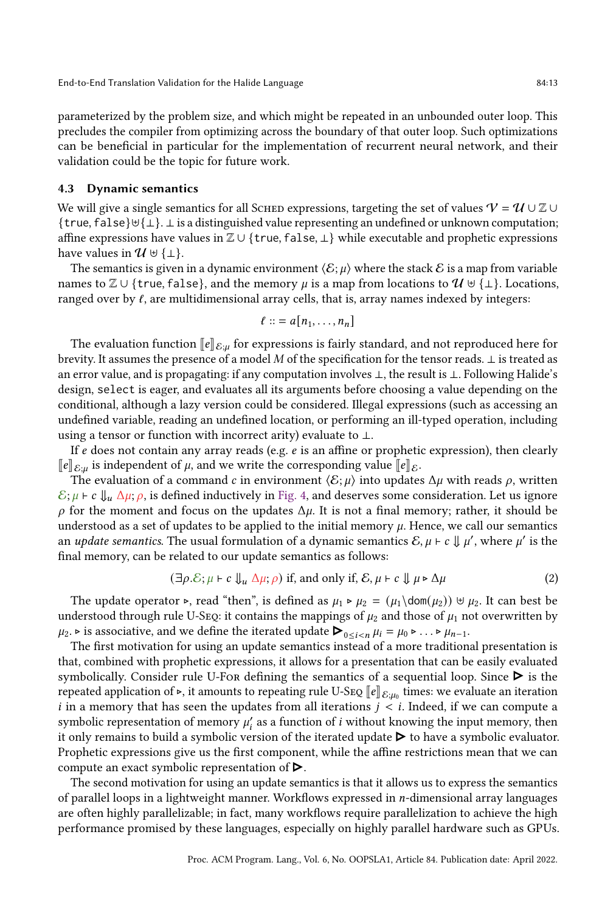parameterized by the problem size, and which might be repeated in an unbounded outer loop. This precludes the compiler from optimizing across the boundary of that outer loop. Such optimizations can be beneficial in particular for the implementation of recurrent neural network, and their validation could be the topic for future work.

### <span id="page-12-0"></span>4.3 Dynamic semantics

We will give a single semantics for all SCHED expressions, targeting the set of values  $V = U \cup \mathbb{Z} \cup \mathbb{Z}$ {true, false}⊎{⊥}. ⊥ is a distinguished value representing an undefined or unknown computation; affine expressions have values in Z ∪ {true, false, ⊥} while executable and prophetic expressions have values in  $\mathcal{U} \cup \{\perp\}.$ 

The semantics is given in a dynamic environment  $\langle \mathcal{E}; \mu \rangle$  where the stack  $\mathcal{E}$  is a map from variable names to  $\mathbb{Z} \cup \{ \text{true}, \text{false} \}$ , and the memory  $\mu$  is a map from locations to  $\mathcal{U} \cup \{\perp\}$ . Locations, ranged over by  $\ell$ , are multidimensional array cells, that is, array names indexed by integers:

$$
\ell ::= a[n_1,\ldots,n_n]
$$

The evaluation function  $\llbracket e \rrbracket_{\mathcal{E} \mu}$  for expressions is fairly standard, and not reproduced here for brevity. It assumes the presence of a model  $M$  of the specification for the tensor reads.  $\bot$  is treated as an error value, and is propagating: if any computation involves ⊥, the result is ⊥. Following Halide's design, select is eager, and evaluates all its arguments before choosing a value depending on the conditional, although a lazy version could be considered. Illegal expressions (such as accessing an undefined variable, reading an undefined location, or performing an ill-typed operation, including using a tensor or function with incorrect arity) evaluate to ⊥.

If  $e$  does not contain any array reads (e.g.  $e$  is an affine or prophetic expression), then clearly  $\llbracket e \rrbracket_{\mathcal{E}:\mu}$  is independent of  $\mu$ , and we write the corresponding value  $\llbracket e \rrbracket_{\mathcal{E}}$ .

The evaluation of a command c in environment  $\langle \mathcal{E}; \mu \rangle$  into updates  $\Delta \mu$  with reads  $\rho$ , written  $\mathcal{E}; \mu \vdash c \Downarrow_u \Delta \mu; \rho$ , is defined inductively in [Fig. 4,](#page-14-0) and deserves some consideration. Let us ignore  $\rho$  for the moment and focus on the updates  $\Delta \mu$ . It is not a final memory; rather, it should be understood as a set of updates to be applied to the initial memory  $\mu$ . Hence, we call our semantics an update semantics. The usual formulation of a dynamic semantics  $\mathcal{E}, \mu \vdash c \Downarrow \mu'$ , where  $\mu'$  is the final memory, can be related to our update semantics as follows:

$$
(\exists \rho. \mathcal{E}; \mu \vdash c \Downarrow_u \Delta \mu; \rho) \text{ if, and only if, } \mathcal{E}, \mu \vdash c \Downarrow \mu \triangleright \Delta \mu
$$
 (2)

The update operator ⊳, read "then", is defined as  $\mu_1 \triangleright \mu_2 = (\mu_1 \text{dom}(\mu_2)) \uplus \mu_2$ . It can best be understood through rule U-Seq: it contains the mappings of  $\mu_2$  and those of  $\mu_1$  not overwritten by understood through rule U-SEQ: it contains the mappings of  $\mu_2$  and those of  $\mu_1$  no<br> $\mu_2. \triangleright$  is associative, and we define the iterated update  $\blacktriangleright_{0 \le i < n} \mu_i = \mu_0 \triangleright \ldots \triangleright \mu_{n-1}$ .

The first motivation for using an update semantics instead of a more traditional presentation is that, combined with prophetic expressions, it allows for a presentation that can be easily evaluated symbolically. Consider rule U-For defining the semantics of a sequential loop. Since  $\triangleright$  is the repeated application of ⊳, it amounts to repeating rule U-SEQ  $\llbracket e \rrbracket_{\mathcal{E};\mu_0}$  times: we evaluate an iteration<br>i.i.e. a momentu that has seen the undetes from all iterations  $i \leq i$ . Indeed, if we see compute a i in a memory that has seen the updates from all iterations  $j \lt i$ . Indeed, if we can compute a symbolic representation of memory  $\mu'_i$  as a function of i without knowing the input memory, then it only remains to build a symbolic version of the iterated update  $\triangleright$  to have a symbolic evaluator. Prophetic expressions give us the first component, while the affine restrictions mean that we can compute an exact symbolic representation of  $\blacktriangleright$ .

The second motivation for using an update semantics is that it allows us to express the semantics of parallel loops in a lightweight manner. Workflows expressed in *n*-dimensional array languages are often highly parallelizable; in fact, many workflows require parallelization to achieve the high performance promised by these languages, especially on highly parallel hardware such as GPUs.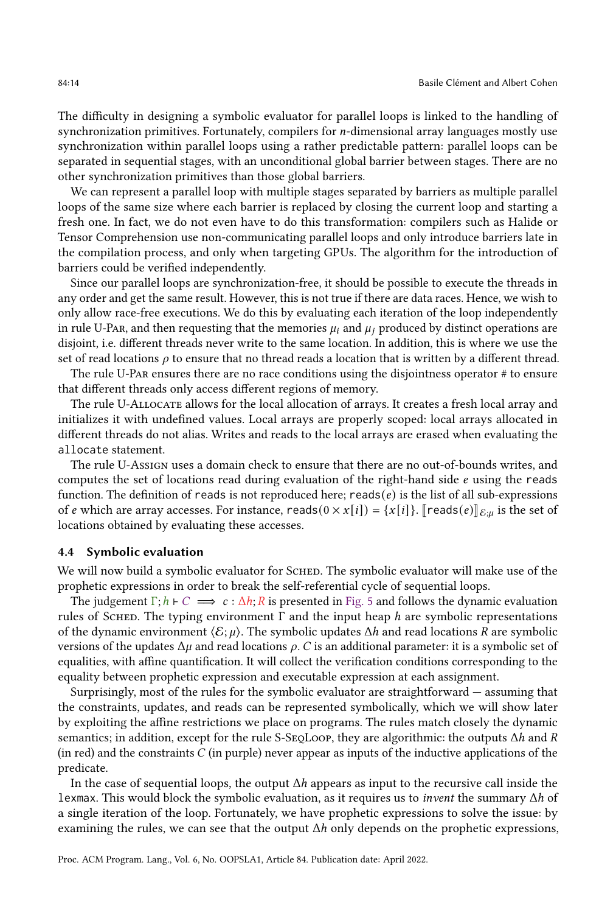The difficulty in designing a symbolic evaluator for parallel loops is linked to the handling of synchronization primitives. Fortunately, compilers for *n*-dimensional array languages mostly use synchronization within parallel loops using a rather predictable pattern: parallel loops can be separated in sequential stages, with an unconditional global barrier between stages. There are no other synchronization primitives than those global barriers.

We can represent a parallel loop with multiple stages separated by barriers as multiple parallel loops of the same size where each barrier is replaced by closing the current loop and starting a fresh one. In fact, we do not even have to do this transformation: compilers such as Halide or Tensor Comprehension use non-communicating parallel loops and only introduce barriers late in the compilation process, and only when targeting GPUs. The algorithm for the introduction of barriers could be verified independently.

Since our parallel loops are synchronization-free, it should be possible to execute the threads in any order and get the same result. However, this is not true if there are data races. Hence, we wish to only allow race-free executions. We do this by evaluating each iteration of the loop independently in rule U-Par, and then requesting that the memories  $\mu_i$  and  $\mu_j$  produced by distinct operations are disjoint, i.e. different threads never write to the same location. In addition, this is where we use the set of read locations  $\rho$  to ensure that no thread reads a location that is written by a different thread.

The rule U-Par ensures there are no race conditions using the disjointness operator # to ensure that different threads only access different regions of memory.

The rule U-Allocate allows for the local allocation of arrays. It creates a fresh local array and initializes it with undefined values. Local arrays are properly scoped: local arrays allocated in different threads do not alias. Writes and reads to the local arrays are erased when evaluating the allocate statement.

The rule U-Assign uses a domain check to ensure that there are no out-of-bounds writes, and computes the set of locations read during evaluation of the right-hand side  $e$  using the reads function. The definition of reads is not reproduced here; reads( $e$ ) is the list of all sub-expressions of *e* which are array accesses. For instance, reads( $0 \times x[i]$ ) = { $x[i]$ }. [reads( $e$ )] $_{E;\mu}$  is the set of locations obtained by evaluating these accesses.

#### 4.4 Symbolic evaluation

We will now build a symbolic evaluator for SCHED. The symbolic evaluator will make use of the prophetic expressions in order to break the self-referential cycle of sequential loops.

The judgement  $\Gamma$ ;  $h \vdash C \implies c : \Delta h$ ; R is presented in [Fig. 5](#page-15-1) and follows the dynamic evaluation rules of SCHED. The typing environment Γ and the input heap  *are symbolic representations* of the dynamic environment  $\langle \mathcal{E}; \mu \rangle$ . The symbolic updates  $\Delta h$  and read locations R are symbolic versions of the updates  $\Delta \mu$  and read locations  $\rho$ . *C* is an additional parameter: it is a symbolic set of equalities, with affine quantification. It will collect the verification conditions corresponding to the equality between prophetic expression and executable expression at each assignment.

Surprisingly, most of the rules for the symbolic evaluator are straightforward — assuming that the constraints, updates, and reads can be represented symbolically, which we will show later by exploiting the affine restrictions we place on programs. The rules match closely the dynamic semantics; in addition, except for the rule S-SeqLoop, they are algorithmic: the outputs  $\Delta h$  and R (in red) and the constraints  $C$  (in purple) never appear as inputs of the inductive applications of the predicate.

In the case of sequential loops, the output  $\Delta h$  appears as input to the recursive call inside the lexmax. This would block the symbolic evaluation, as it requires us to *invent* the summary  $\Delta h$  of a single iteration of the loop. Fortunately, we have prophetic expressions to solve the issue: by examining the rules, we can see that the output  $\Delta h$  only depends on the prophetic expressions,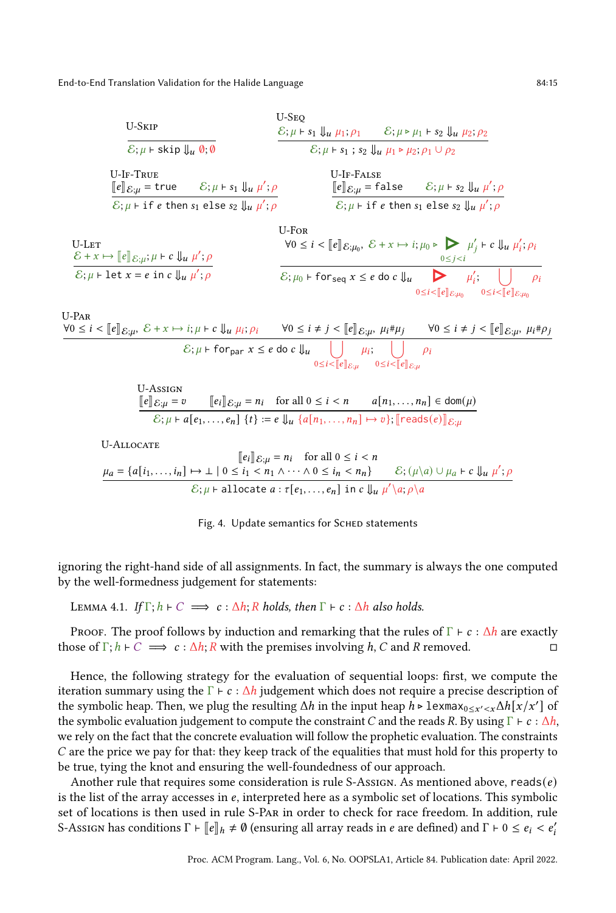<span id="page-14-0"></span>

| U-SKIP                                                                                             | U-SEQ                                                                                              |                                                                                              |
|----------------------------------------------------------------------------------------------------|----------------------------------------------------------------------------------------------------|----------------------------------------------------------------------------------------------|
| $\mathcal{E}; \mu \vdash \text{skip } \Downarrow_u 0; 0$                                           | $\mathcal{E}; \mu \vdash s_1 \Downarrow_u \mu_1; \rho_1$                                           | $\mathcal{E}; \mu \vdash \mu_2 \Downarrow_u \mu_2; \rho_2$                                   |
| U-IF-TRUE                                                                                          | $\mathcal{E}; \mu \vdash s_1 \Downarrow_u \mu'; \rho$                                              | $\mathcal{E}; \mu \vdash s_1 \vdash s_2 \Downarrow_u \mu_1 \vdash \mu_2; \rho_1 \cup \rho_2$ |
| U-IF-TRUE                                                                                          | $\mathcal{E}; \mu \vdash s_1 \Downarrow_u \mu'; \rho$                                              | $\mathcal{E}; \mu \vdash \text{false } \mathcal{E}; \mu \vdash s_2 \Downarrow_u \mu'; \rho$  |
| $\mathcal{E}; \mu \vdash \text{if } e \text{ then } s_1 \text{ else } s_2 \Downarrow_u \mu'; \rho$ | $\mathcal{E}; \mu \vdash \text{if } e \text{ then } s_1 \text{ else } s_2 \Downarrow_u \mu'; \rho$ |                                                                                              |

U-**LET**

\n
$$
\mathsf{U}\text{-}\mathsf{For}
$$
\n
$$
\mathsf{U}\text{-}\mathsf{For}
$$
\n
$$
\mathsf{U}\text{-}\mathsf{For}
$$
\n
$$
\mathsf{U}\text{-}\mathsf{For}
$$
\n
$$
\mathsf{V}\mathsf{O} \leq i < [\![e]\!]_{\mathcal{E};\mu_0}, \, \mathcal{E}\text{ + } x \mapsto i; \mu_0 \triangleright \bigotimes_{0 \leq j < i} \mu'_j \text{ + } c \Downarrow_u \mu'_i; \rho_i
$$
\n
$$
\overline{\mathsf{E}};\mu \text{ + } \mathsf{let}\ x = e \text{ in } c \Downarrow_u \mu'; \rho
$$
\n
$$
\overline{\mathsf{E}};\mu_0 \text{ + } \mathsf{for}_{\mathsf{seq}} x \leq e \text{ do } c \Downarrow_u \bigotimes_{0 \leq i < [\![e]\!]_{\mathcal{E};\mu_0}} \rho_i
$$

U-Par  $\forall 0 \leq i < \llbracket e \rrbracket_{\mathcal{E};\mu}, \ \mathcal{E} + x \mapsto i; \mu \vdash c \Downarrow_u \mu_i; \rho_i \qquad \forall 0 \leq i \neq j < \llbracket e \rrbracket_{\mathcal{E};\mu}, \ \mu_i \# \mu_j \qquad \forall 0 \leq i \neq j < \llbracket e \rrbracket_{\mathcal{E};\mu}, \ \mu_i \# \rho_j$ E; ⊢ forpar ≤ do ⇓ Ø  $0 \leq i < \llbracket e \rrbracket_{\mathcal{E};\mu}$  $\mu_i$ ;  $\vert \ \vert$  $0 \leq i < \llbracket e \rrbracket_{\mathcal{E};\mu}$  $\rho_i$ 

U-ASSIGN  
\n
$$
\frac{[e] \, \mathcal{E} \, \mathcal{L}}{\mathcal{E} \, \mathcal{L}} = v \qquad [e_i] \, \mathcal{E} \, \mathcal{L}} = n_i \quad \text{for all } 0 \leq i < n \qquad a[n_1, \ldots, n_n] \in \text{dom}(\mu)
$$
\n
$$
\mathcal{E} \, \mathcal{L} \, \mathcal{L} + a[e_1, \ldots, e_n] \, \{t\} := e \, \mathcal{L}_u \, \{a[n_1, \ldots, n_n] \mapsto v\}; \text{[reads}(e)] \, \mathcal{E} \, \mathcal{L}_u
$$

U-Allocate

$$
\begin{aligned}\n\llbracket e_i \rrbracket_{\mathcal{E};\mu} &= n_i \quad \text{for all } 0 \le i < n \\
\frac{\mu_a = \{a[i_1,\ldots,i_n] \mapsto \bot \mid 0 \le i_1 < n_1 \wedge \cdots \wedge 0 \le i_n < n_n\}}{\mathcal{E}; \mu \vdash \text{allocate } a : \tau[e_1,\ldots,e_n] \text{ in } c \Downarrow_u \mu' \setminus a; \rho \setminus a}.\n\end{aligned}
$$

|  |  | Fig. 4. Update semantics for SCHED statements |
|--|--|-----------------------------------------------|
|  |  |                                               |

ignoring the right-hand side of all assignments. In fact, the summary is always the one computed by the well-formedness judgement for statements:

LEMMA 4.1. If  $\Gamma$ ;  $h \vdash C \implies c : \Delta h$ ; R holds, then  $\Gamma \vdash c : \Delta h$  also holds.

Proof. The proof follows by induction and remarking that the rules of  $\Gamma \vdash c : \Delta h$  are exactly those of  $\Gamma$ ;  $h \vdash C \implies c : \Delta h$ ;  $R$  with the premises involving  $h$ ,  $C$  and  $R$  removed.

Hence, the following strategy for the evaluation of sequential loops: first, we compute the iteration summary using the  $\Gamma \vdash c : \Delta h$  judgement which does not require a precise description of the symbolic heap. Then, we plug the resulting  $\Delta h$  in the input heap  $h \triangleright 1$ exmax $_{0 \leq x' < x} \Delta h[x/x']$  of the symbolic evaluation judgement to compute the constraint C and the reads R. By using  $\Gamma \vdash c : \Delta h$ , we rely on the fact that the concrete evaluation will follow the prophetic evaluation. The constraints are the price we pay for that: they keep track of the equalities that must hold for this property to be true, tying the knot and ensuring the well-foundedness of our approach.

Another rule that requires some consideration is rule S-Assign. As mentioned above, reads( $e$ ) is the list of the array accesses in  $e$ , interpreted here as a symbolic set of locations. This symbolic set of locations is then used in rule S-Par in order to check for race freedom. In addition, rule S-Assign has conditions  $\Gamma \vdash [\![e]\!]_h \neq \emptyset$  (ensuring all array reads in  $e$  are defined) and  $\Gamma \vdash 0 \leq e_i < e'_i$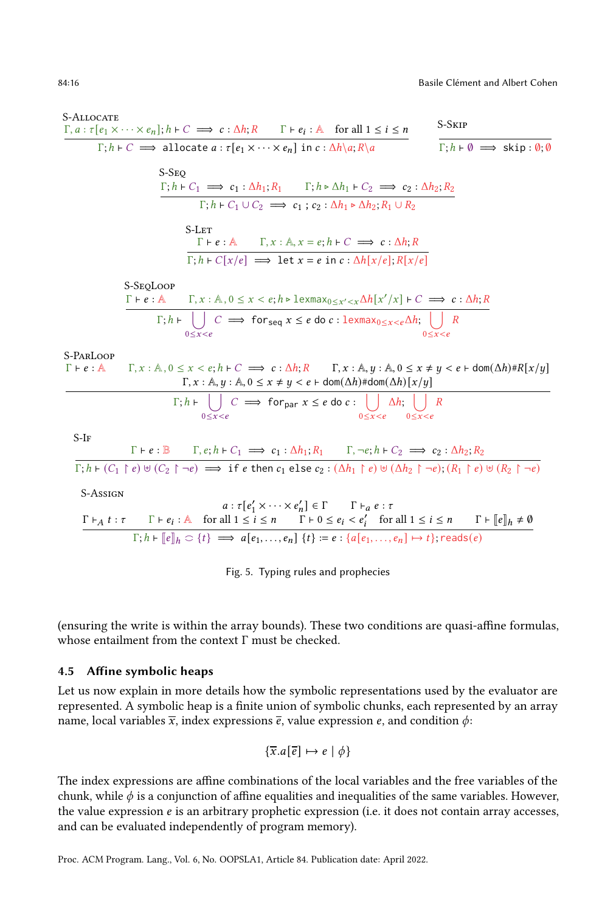<span id="page-15-1"></span>S-Allocate  $\Gamma, a : \tau [e_1 \times \cdots \times e_n]; h \vdash C \implies c : \Delta h; R$   $\Gamma \vdash e_i : A$  for all  $1 \leq i \leq n$  $\Gamma; h \vdash C \implies \text{allocate } a : \tau[e_1 \times \cdots \times e_n] \text{ in } c : \Delta h \setminus a; R \setminus a$   $\Gamma; h \vdash \emptyset \implies \text{skip} : \emptyset; \emptyset$ S-Skip S-S<sub>EO</sub>  $\Gamma; h \vdash C_1 \implies c_1 : \Delta h_1; R_1 \qquad \Gamma; h \triangleright \Delta h_1 \vdash C_2 \implies c_2 : \Delta h_2; R_2$  $\Gamma$ ;  $h \vdash C_1 \cup C_2 \implies c_1$ ;  $c_2 : \Delta h_1 \triangleright \Delta h_2$ ;  $R_1 \cup R_2$ S-Let  $\Gamma \vdash e : \mathbb{A}$   $\Gamma, x : \mathbb{A}, x = e; h \vdash C \implies c : \Delta h; R$  $\Gamma; h \vdash C[x/e] \implies$  let  $x = e$  in  $c : \Delta h[x/e]; R[x/e]$ S-SeqLoop  $\Gamma \vdash e : \mathbb{A}$   $\Gamma, x : \mathbb{A}, 0 \leq x < e; h \triangleright \text{lexmax}_{0 \leq x' < x} \Delta h[x'/x] + C \implies c : \Delta h; R$  $\Gamma$ ;  $h \vdash \left| \right|$  $0 \leq x < e$  $C \implies \text{for}_{\text{seq}} x \leq e \text{ do } c : \text{lexmax}_{0 \leq x < e} \Delta h; \ \vert \ \ \vert$  $0 \leq x < e$  $\overline{R}$ S-ParLoop  $\Gamma \vdash e : \mathbb{A}$   $\Gamma, x : \mathbb{A}, 0 \le x < e; h \vdash C \implies c : \Delta h; R$   $\Gamma, x : \mathbb{A}, y : \mathbb{A}, 0 \le x \ne y < e \vdash \text{dom}(\Delta h) \# R[x/y]$  $\Gamma, x : \mathbb{A}, y : \mathbb{A}, 0 \leq x \neq y < e \vdash \text{dom}(\Delta h) \# \text{dom}(\Delta h) [x/y]$  $\Gamma; h \vdash \begin{array}{c} \vert \\ \vert \end{array}$  $0 \leq x < e$  $C \implies \text{for}_{\text{par}} x \leq e \text{ do } c : \left| \right|$  $0 \leq x < e$  $\Delta h$ ;  $|$  $0 \leq x < e$  $\overline{R}$ 

S-If

$$
\Gamma + e : \mathbb{B} \qquad \Gamma, e; h \vdash C_1 \implies c_1 : \Delta h_1; R_1 \qquad \Gamma, \neg e; h \vdash C_2 \implies c_2 : \Delta h_2; R_2
$$
\n
$$
\Gamma; h \vdash (C_1 \upharpoonright e) \uplus (C_2 \upharpoonright \neg e) \implies \text{if } e \text{ then } c_1 \text{ else } c_2 : (\Delta h_1 \upharpoonright e) \uplus (\Delta h_2 \upharpoonright \neg e); (R_1 \upharpoonright e) \uplus (R_2 \upharpoonright \neg e)
$$

S-Assign

$$
a: \tau[e'_1 \times \cdots \times e'_n] \in \Gamma \qquad \Gamma \vdash_a e : \tau
$$
\n
$$
\frac{\Gamma \vdash_A t : \tau \qquad \Gamma \vdash e_i : \mathbb{A} \quad \text{for all } 1 \leq i \leq n \qquad \Gamma \vdash 0 \leq e_i < e'_i \quad \text{for all } 1 \leq i \leq n \qquad \Gamma \vdash [\![e]\!]_h \neq \emptyset}{\Gamma; h \vdash [\![e]\!]_h \subset \{t\} \implies a[e_1, \ldots, e_n] \{t\} := e : \{a[e_1, \ldots, e_n] \mapsto t\}; \text{reads}(e)}
$$

Fig. 5. Typing rules and prophecies

(ensuring the write is within the array bounds). These two conditions are quasi-affine formulas, whose entailment from the context Γ must be checked.

#### <span id="page-15-0"></span>4.5 Affine symbolic heaps

Let us now explain in more details how the symbolic representations used by the evaluator are represented. A symbolic heap is a finite union of symbolic chunks, each represented by an array name, local variables  $\bar{x}$ , index expressions  $\bar{e}$ , value expression  $e$ , and condition  $\phi$ :

$$
\{\overline{x}.a[\overline{e}] \mapsto e \mid \phi\}
$$

The index expressions are affine combinations of the local variables and the free variables of the chunk, while  $\phi$  is a conjunction of affine equalities and inequalities of the same variables. However, the value expression *e* is an arbitrary prophetic expression (i.e. it does not contain array accesses, and can be evaluated independently of program memory).

Proc. ACM Program. Lang., Vol. 6, No. OOPSLA1, Article 84. Publication date: April 2022.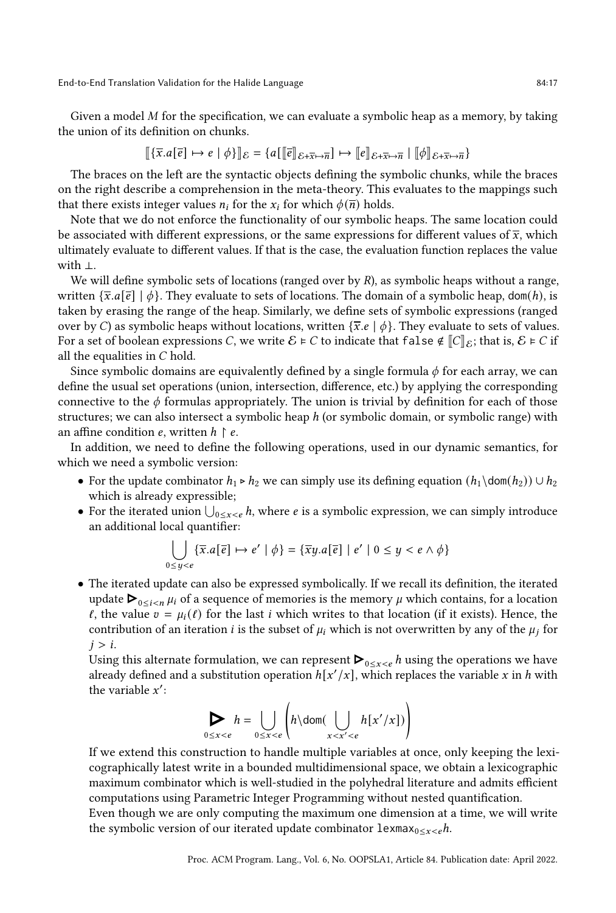Given a model  $M$  for the specification, we can evaluate a symbolic heap as a memory, by taking the union of its definition on chunks.

$$
\llbracket \{\overline{x}.a[\overline{e}] \mapsto e \mid \phi\} \rrbracket_{\mathcal{E}} = \{a[\llbracket \overline{e} \rrbracket_{\mathcal{E} + \overline{x} \mapsto \overline{n}}] \mapsto \llbracket e \rrbracket_{\mathcal{E} + \overline{x} \mapsto \overline{n}} \mid \llbracket \phi \rrbracket_{\mathcal{E} + \overline{x} \mapsto \overline{n}}\}
$$

The braces on the left are the syntactic objects defining the symbolic chunks, while the braces on the right describe a comprehension in the meta-theory. This evaluates to the mappings such that there exists integer values  $n_i$  for the  $x_i$  for which  $\phi(\overline{n})$  holds.

Note that we do not enforce the functionality of our symbolic heaps. The same location could be associated with different expressions, or the same expressions for different values of  $\bar{x}$ , which ultimately evaluate to different values. If that is the case, the evaluation function replaces the value with ⊥.

We will define symbolic sets of locations (ranged over by  $R$ ), as symbolic heaps without a range, written  $\{\bar{x}.a[\bar{e}] \mid \phi\}$ . They evaluate to sets of locations. The domain of a symbolic heap, dom(h), is taken by erasing the range of the heap. Similarly, we define sets of symbolic expressions (ranged over by C) as symbolic heaps without locations, written  $\{\bar{x}, e \mid \phi\}$ . They evaluate to sets of values. For a set of boolean expressions C, we write  $\mathcal{E} \models C$  to indicate that false  $\notin ||C||_{\mathcal{E}}$ ; that is,  $\mathcal{E} \models C$  if all the equalities in  $C$  hold.

Since symbolic domains are equivalently defined by a single formula  $\phi$  for each array, we can define the usual set operations (union, intersection, difference, etc.) by applying the corresponding connective to the  $\phi$  formulas appropriately. The union is trivial by definition for each of those structures; we can also intersect a symbolic heap  $h$  (or symbolic domain, or symbolic range) with an affine condition  $e$ , written  $h \restriction e$ .

In addition, we need to define the following operations, used in our dynamic semantics, for which we need a symbolic version:

- For the update combinator  $h_1 \triangleright h_2$  we can simply use its defining equation  $(h_1 \cdot h_2) \cup h_2$ which is already expressible;
- For the iterated union  $\bigcup_{0\leq x<\epsilon} h$ , where  $\epsilon$  is a symbolic expression, we can simply introduce an additional local quantifier:

$$
\bigcup_{0 \le y < e} \{ \overline{x}.a[\overline{e}] \mapsto e' \mid \phi \} = \{ \overline{x}y.a[\overline{e}] \mid e' \mid 0 \le y < e \land \phi \}
$$

• The iterated update can also be expressed symbolically. If we recall its definition, the iterated The iterated update can also be expressed symbolically. If we recall its definition, the iterated<br>update ▶<sub>0≤*i<n µi* of a sequence of memories is the memory *µ* which contains, for a location</sub>  $\ell$ , the value  $v = \mu_i(\ell)$  for the last *i* which writes to that location (if it exists). Hence, the contribution of an iteration *i* is the subset of  $\mu_i$  which is not overwritten by any of the  $\mu_i$  for  $j > i$ .

Using this alternate formulation, we can represent  $\blacktriangleright_{0\leq x\leq e} h$  using the operations we have already defined and a substitution operation  $h[x'/x]$ , which replaces the variable x in h with the variable  $x'$ :

$$
\sum_{0 \le x < e} h = \bigcup_{0 \le x < e} \left( h \setminus \text{dom}(\bigcup_{x < x' < e} h[x'/x]) \right)
$$

If we extend this construction to handle multiple variables at once, only keeping the lexicographically latest write in a bounded multidimensional space, we obtain a lexicographic maximum combinator which is well-studied in the polyhedral literature and admits efficient computations using Parametric Integer Programming without nested quantification. Even though we are only computing the maximum one dimension at a time, we will write

the symbolic version of our iterated update combinator lexmax<sub>0≤x≤e</sub>h.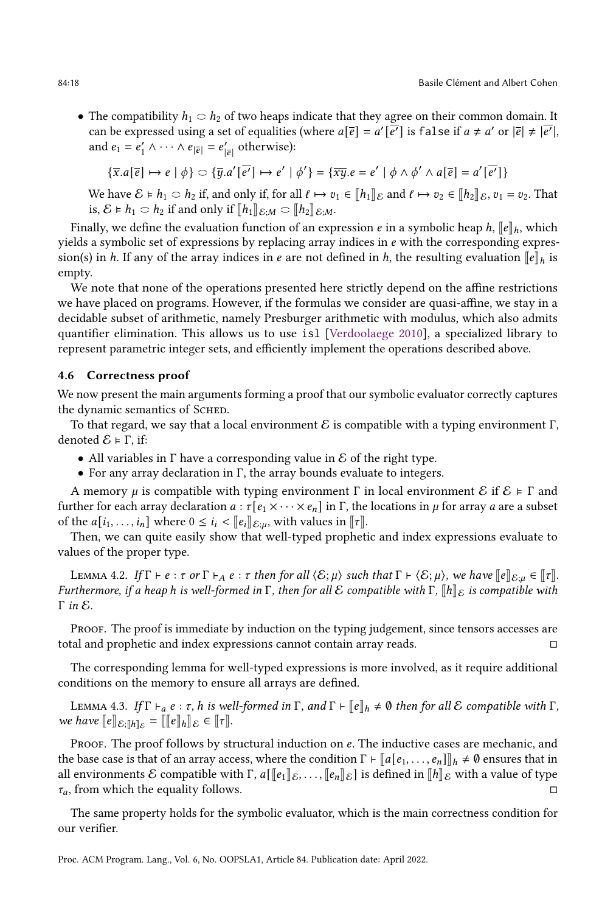• The compatibility  $h_1 \nightharpoonup h_2$  of two heaps indicate that they agree on their common domain. It can be expressed using a set of equalities (where  $a[\overline{e}] = a'[\overline{e'}]$  is false if  $a \neq a'$  or  $|\overline{e}| \neq |\overline{e'}|$ , and  $e_1 = e'_1 \wedge \cdots \wedge e_{|\overline{e}|} = e'_{|\overline{e}|}$  otherwise):

$$
\{\overline{x}.a[\overline{e}] \mapsto e \mid \phi\} \subset \{\overline{y}.a'[\overline{e'}] \mapsto e' \mid \phi'\} = \{\overline{xy}.e = e' \mid \phi \wedge \phi' \wedge a[\overline{e}] = a'[\overline{e'}]\}
$$

We have  $\mathcal{E} \models h_1 \subset h_2$  if, and only if, for all  $\ell \mapsto v_1 \in [h_1]_\mathcal{E}$  and  $\ell \mapsto v_2 \in [h_2]_\mathcal{E}$ ,  $v_1 = v_2$ . That is,  $\mathcal{E} \models h_1 \subset h_2$  if and only if  $[\![h_1]\!]_{\mathcal{E};M} \subset [\![h_2]\!]_{\mathcal{E};M}$ .

Finally, we define the evaluation function of an expression *e* in a symbolic heap  $h$ ,  $\llbracket e \rrbracket_h$ , which yields a symbolic set of expressions by replacing array indices in  $e$  with the corresponding expression(s) in h. If any of the array indices in e are not defined in h, the resulting evaluation  $\llbracket e \rrbracket_h$  is empty.

We note that none of the operations presented here strictly depend on the affine restrictions we have placed on programs. However, if the formulas we consider are quasi-affine, we stay in a decidable subset of arithmetic, namely Presburger arithmetic with modulus, which also admits quantifier elimination. This allows us to use isl [\[Verdoolaege](#page-29-3) [2010\]](#page-29-3), a specialized library to represent parametric integer sets, and efficiently implement the operations described above.

#### 4.6 Correctness proof

We now present the main arguments forming a proof that our symbolic evaluator correctly captures the dynamic semantics of SCHED.

To that regard, we say that a local environment  $\mathcal E$  is compatible with a typing environment  $\Gamma$ , denoted  $E \models Γ$ , if:

- All variables in  $\Gamma$  have a corresponding value in  $\mathcal E$  of the right type.
- For any array declaration in  $\Gamma$ , the array bounds evaluate to integers.

A memory  $\mu$  is compatible with typing environment  $\Gamma$  in local environment  $\mathcal E$  if  $\mathcal E \models \Gamma$  and further for each array declaration  $a : \tau[e_1 \times \cdots \times e_n]$  in  $\Gamma$ , the locations in  $\mu$  for array  $a$  are a subset of the  $a[i_1, \ldots, i_n]$  where  $0 \leq i_i < ||e_i||_{\mathcal{E}:\mu}$ , with values in  $||\tau||$ .

Then, we can quite easily show that well-typed prophetic and index expressions evaluate to values of the proper type.

LEMMA 4.2. If  $\Gamma \vdash e : \tau$  or  $\Gamma \vdash_A e : \tau$  then for all  $\langle \mathcal{E}; \mu \rangle$  such that  $\Gamma \vdash \langle \mathcal{E}; \mu \rangle$ , we have  $\llbracket e \rrbracket_{\mathcal{E};\mu} \in \llbracket \tau \rrbracket$ . Furthermore, if a heap h is well-formed in  $\Gamma$ , then for all E compatible with  $\Gamma$ ,  $\llbracket h \rrbracket_{\mathcal{E}}$  is compatible with  $Γ$  in  $E$ .

Proof. The proof is immediate by induction on the typing judgement, since tensors accesses are total and prophetic and index expressions cannot contain array reads. □

The corresponding lemma for well-typed expressions is more involved, as it require additional conditions on the memory to ensure all arrays are defined.

<span id="page-17-0"></span>LEMMA 4.3. If  $\Gamma \vdash_a e : \tau$ , h is well-formed in  $\Gamma$ , and  $\Gamma \vdash [e]_h \neq \emptyset$  then for all  $\mathcal E$  compatible with  $\Gamma$ , we have  $\llbracket e \rrbracket_{\mathcal{E}: \llbracket h \rrbracket_{\mathcal{E}} = \llbracket \llbracket e \rrbracket_h \rrbracket_{\mathcal{E}} \in \llbracket \tau \rrbracket$ .

PROOF. The proof follows by structural induction on  $e$ . The inductive cases are mechanic, and the base case is that of an array access, where the condition  $\Gamma \vdash [a[e_1, \ldots, e_n]]_h \neq \emptyset$  ensures that in all environments E compatible with  $\Gamma$ ,  $a[\llbracket e_1 \rrbracket_{\mathcal{E}}, \ldots, \llbracket e_n \rrbracket_{\mathcal{E}}]$  is defined in  $\llbracket h \rrbracket_{\mathcal{E}}$  with a value of type  $\tau_a$ , from which the equality follows.

The same property holds for the symbolic evaluator, which is the main correctness condition for our verifier.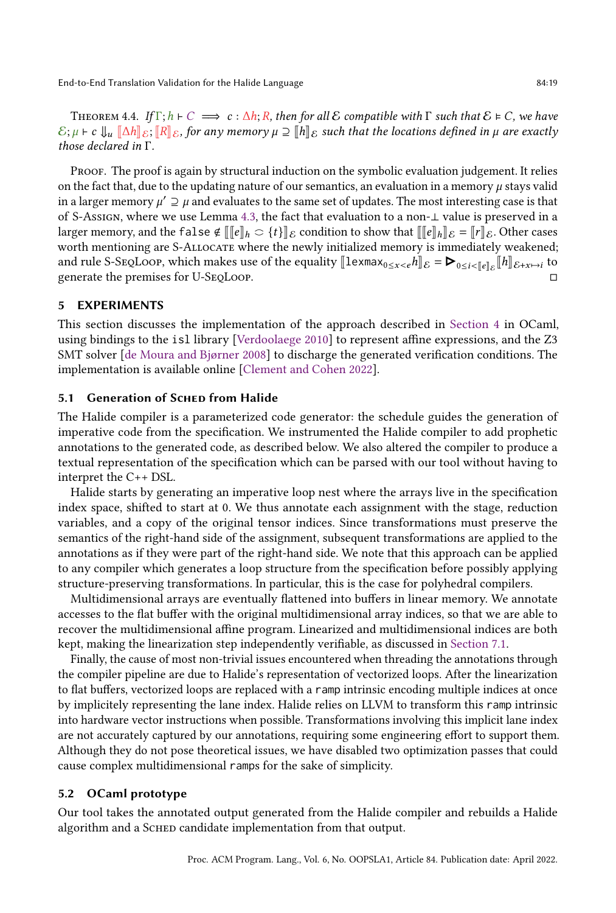THEOREM 4.4. If  $\Gamma; h \vdash C \implies c : \Delta h; R$ , then for all E compatible with  $\Gamma$  such that  $\mathcal{E} \models C$ , we have  $\mathcal{E}; \mu \vdash c \Downarrow_u [\Delta h]_{\mathcal{E}}; [\![R]\!]_{\mathcal{E}}$ , for any memory  $\mu \supseteq [\![h]\!]_{\mathcal{E}}$  such that the locations defined in  $\mu$  are exactly those declared in Γ.

Proof. The proof is again by structural induction on the symbolic evaluation judgement. It relies on the fact that, due to the updating nature of our semantics, an evaluation in a memory  $\mu$  stays valid in a larger memory  $\mu' \supseteq \mu$  and evaluates to the same set of updates. The most interesting case is that of S-Assign, where we use Lemma [4.3,](#page-17-0) the fact that evaluation to a non-⊥ value is preserved in a larger memory, and the false  $\notin \llbracket \llbracket e \rrbracket_h \geq \{t\} \rrbracket_{\mathcal{E}}$  condition to show that  $\llbracket \llbracket e \rrbracket_h \rrbracket_{\mathcal{E}} = \llbracket r \rrbracket_{\mathcal{E}}$ . Other cases worth mentioning are S-Allocate where the newly initialized memory is immediately weakened; worth mentioning are S-ALLOCATE where the newly initialized memory is immediately weakened;<br>and rule S-SEQLOOP, which makes use of the equality  $[\![\text{lexmax}_{0 \le x < e} h]\!]_{\mathcal{E}} = \blacktriangleright_{0 \le i < [\![e]\!]_{\mathcal{E}}} [\![h]\!]_{\mathcal{E}+x \mapsto i}$  to generate the premises for U-SeqLoop. □

### <span id="page-18-0"></span>5 EXPERIMENTS

This section discusses the implementation of the approach described in [Section 4](#page-8-0) in OCaml, using bindings to the isl library [\[Verdoolaege](#page-29-3) [2010\]](#page-29-3) to represent affine expressions, and the Z3 SMT solver [\[de Moura and Bjørner](#page-27-4) [2008\]](#page-27-4) to discharge the generated verification conditions. The implementation is available online [\[Clement and Cohen](#page-27-7) [2022\]](#page-27-7).

## 5.1 Generation of Schep from Halide

The Halide compiler is a parameterized code generator: the schedule guides the generation of imperative code from the specification. We instrumented the Halide compiler to add prophetic annotations to the generated code, as described below. We also altered the compiler to produce a textual representation of the specification which can be parsed with our tool without having to interpret the C++ DSL.

Halide starts by generating an imperative loop nest where the arrays live in the specification index space, shifted to start at 0. We thus annotate each assignment with the stage, reduction variables, and a copy of the original tensor indices. Since transformations must preserve the semantics of the right-hand side of the assignment, subsequent transformations are applied to the annotations as if they were part of the right-hand side. We note that this approach can be applied to any compiler which generates a loop structure from the specification before possibly applying structure-preserving transformations. In particular, this is the case for polyhedral compilers.

Multidimensional arrays are eventually flattened into buffers in linear memory. We annotate accesses to the flat buffer with the original multidimensional array indices, so that we are able to recover the multidimensional affine program. Linearized and multidimensional indices are both kept, making the linearization step independently verifiable, as discussed in [Section 7.1.](#page-24-3)

Finally, the cause of most non-trivial issues encountered when threading the annotations through the compiler pipeline are due to Halide's representation of vectorized loops. After the linearization to flat buffers, vectorized loops are replaced with a ramp intrinsic encoding multiple indices at once by implicitely representing the lane index. Halide relies on LLVM to transform this ramp intrinsic into hardware vector instructions when possible. Transformations involving this implicit lane index are not accurately captured by our annotations, requiring some engineering effort to support them. Although they do not pose theoretical issues, we have disabled two optimization passes that could cause complex multidimensional ramps for the sake of simplicity.

#### 5.2 OCaml prototype

Our tool takes the annotated output generated from the Halide compiler and rebuilds a Halide algorithm and a SCHED candidate implementation from that output.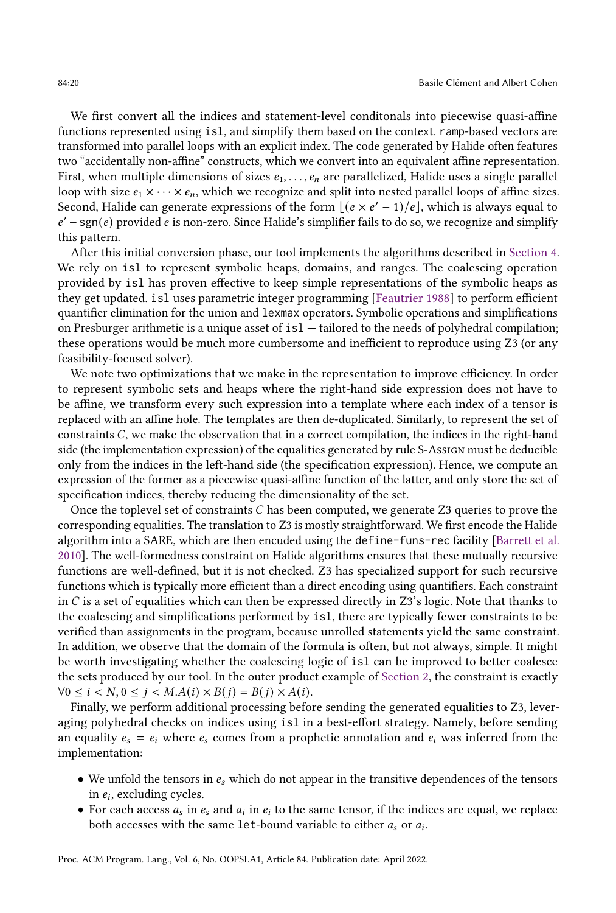We first convert all the indices and statement-level conditonals into piecewise quasi-affine functions represented using isl, and simplify them based on the context. ramp-based vectors are transformed into parallel loops with an explicit index. The code generated by Halide often features two "accidentally non-affine" constructs, which we convert into an equivalent affine representation. First, when multiple dimensions of sizes  $e_1, \ldots, e_n$  are parallelized, Halide uses a single parallel loop with size  $e_1 \times \cdots \times e_n$ , which we recognize and split into nested parallel loops of affine sizes. Second, Halide can generate expressions of the form  $[(e \times e' - 1)/e]$ , which is always equal to  $e'$  – sgn(e) provided e is non-zero. Since Halide's simplifier fails to do so, we recognize and simplify this pattern.

After this initial conversion phase, our tool implements the algorithms described in [Section 4.](#page-8-0) We rely on isl to represent symbolic heaps, domains, and ranges. The coalescing operation provided by isl has proven effective to keep simple representations of the symbolic heaps as they get updated. isl uses parametric integer programming [\[Feautrier](#page-27-8) [1988\]](#page-27-8) to perform efficient quantifier elimination for the union and lexmax operators. Symbolic operations and simplifications on Presburger arithmetic is a unique asset of isl — tailored to the needs of polyhedral compilation; these operations would be much more cumbersome and inefficient to reproduce using Z3 (or any feasibility-focused solver).

We note two optimizations that we make in the representation to improve efficiency. In order to represent symbolic sets and heaps where the right-hand side expression does not have to be affine, we transform every such expression into a template where each index of a tensor is replaced with an affine hole. The templates are then de-duplicated. Similarly, to represent the set of constraints  $C$ , we make the observation that in a correct compilation, the indices in the right-hand side (the implementation expression) of the equalities generated by rule S-Assign must be deducible only from the indices in the left-hand side (the specification expression). Hence, we compute an expression of the former as a piecewise quasi-affine function of the latter, and only store the set of specification indices, thereby reducing the dimensionality of the set.

Once the toplevel set of constraints  $C$  has been computed, we generate  $Z_3$  queries to prove the corresponding equalities. The translation to Z3 is mostly straightforward. We first encode the Halide algorithm into a SARE, which are then encuded using the define-funs-rec facility [\[Barrett et al.](#page-27-9) [2010\]](#page-27-9). The well-formedness constraint on Halide algorithms ensures that these mutually recursive functions are well-defined, but it is not checked. Z3 has specialized support for such recursive functions which is typically more efficient than a direct encoding using quantifiers. Each constraint in  $C$  is a set of equalities which can then be expressed directly in  $Z3$ 's logic. Note that thanks to the coalescing and simplifications performed by isl, there are typically fewer constraints to be verified than assignments in the program, because unrolled statements yield the same constraint. In addition, we observe that the domain of the formula is often, but not always, simple. It might be worth investigating whether the coalescing logic of isl can be improved to better coalesce the sets produced by our tool. In the outer product example of [Section 2,](#page-1-0) the constraint is exactly  $\forall 0 \le i \le N, 0 \le j \le M.A(i) \times B(j) = B(j) \times A(i).$ 

Finally, we perform additional processing before sending the generated equalities to Z3, leveraging polyhedral checks on indices using isl in a best-effort strategy. Namely, before sending an equality  $e_s = e_i$  where  $e_s$  comes from a prophetic annotation and  $e_i$  was inferred from the implementation:

- We unfold the tensors in  $e_s$  which do not appear in the transitive dependences of the tensors in  $e_i$ , excluding cycles.
- For each access  $a_s$  in  $e_s$  and  $a_i$  in  $e_i$  to the same tensor, if the indices are equal, we replace both accesses with the same  $1$ et-bound variable to either  $a_s$  or  $a_i$ .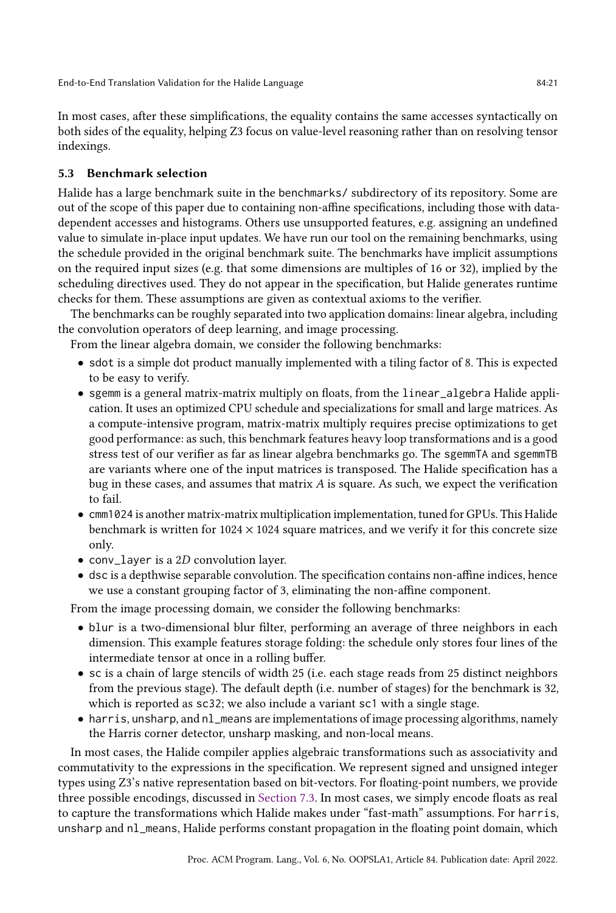In most cases, after these simplifications, the equality contains the same accesses syntactically on both sides of the equality, helping Z3 focus on value-level reasoning rather than on resolving tensor indexings.

## 5.3 Benchmark selection

Halide has a large benchmark suite in the benchmarks/ subdirectory of its repository. Some are out of the scope of this paper due to containing non-affine specifications, including those with datadependent accesses and histograms. Others use unsupported features, e.g. assigning an undefined value to simulate in-place input updates. We have run our tool on the remaining benchmarks, using the schedule provided in the original benchmark suite. The benchmarks have implicit assumptions on the required input sizes (e.g. that some dimensions are multiples of 16 or 32), implied by the scheduling directives used. They do not appear in the specification, but Halide generates runtime checks for them. These assumptions are given as contextual axioms to the verifier.

The benchmarks can be roughly separated into two application domains: linear algebra, including the convolution operators of deep learning, and image processing.

From the linear algebra domain, we consider the following benchmarks:

- sdot is a simple dot product manually implemented with a tiling factor of 8. This is expected to be easy to verify.
- sgemm is a general matrix-matrix multiply on floats, from the linear\_algebra Halide application. It uses an optimized CPU schedule and specializations for small and large matrices. As a compute-intensive program, matrix-matrix multiply requires precise optimizations to get good performance: as such, this benchmark features heavy loop transformations and is a good stress test of our verifier as far as linear algebra benchmarks go. The sgemmTA and sgemmTB are variants where one of the input matrices is transposed. The Halide specification has a bug in these cases, and assumes that matrix  $A$  is square. As such, we expect the verification to fail.
- cmm1024 is another matrix-matrix multiplication implementation, tuned for GPUs. This Halide benchmark is written for  $1024 \times 1024$  square matrices, and we verify it for this concrete size only.
- conv\_layer is a  $2D$  convolution layer.
- dsc is a depthwise separable convolution. The specification contains non-affine indices, hence we use a constant grouping factor of 3, eliminating the non-affine component.

From the image processing domain, we consider the following benchmarks:

- blur is a two-dimensional blur filter, performing an average of three neighbors in each dimension. This example features storage folding: the schedule only stores four lines of the intermediate tensor at once in a rolling buffer.
- sc is a chain of large stencils of width 25 (i.e. each stage reads from 25 distinct neighbors from the previous stage). The default depth (i.e. number of stages) for the benchmark is 32, which is reported as sc32; we also include a variant sc1 with a single stage.
- harris, unsharp, and nl\_means are implementations of image processing algorithms, namely the Harris corner detector, unsharp masking, and non-local means.

In most cases, the Halide compiler applies algebraic transformations such as associativity and commutativity to the expressions in the specification. We represent signed and unsigned integer types using Z3's native representation based on bit-vectors. For floating-point numbers, we provide three possible encodings, discussed in [Section 7.3.](#page-24-1) In most cases, we simply encode floats as real to capture the transformations which Halide makes under "fast-math" assumptions. For harris, unsharp and nl\_means, Halide performs constant propagation in the floating point domain, which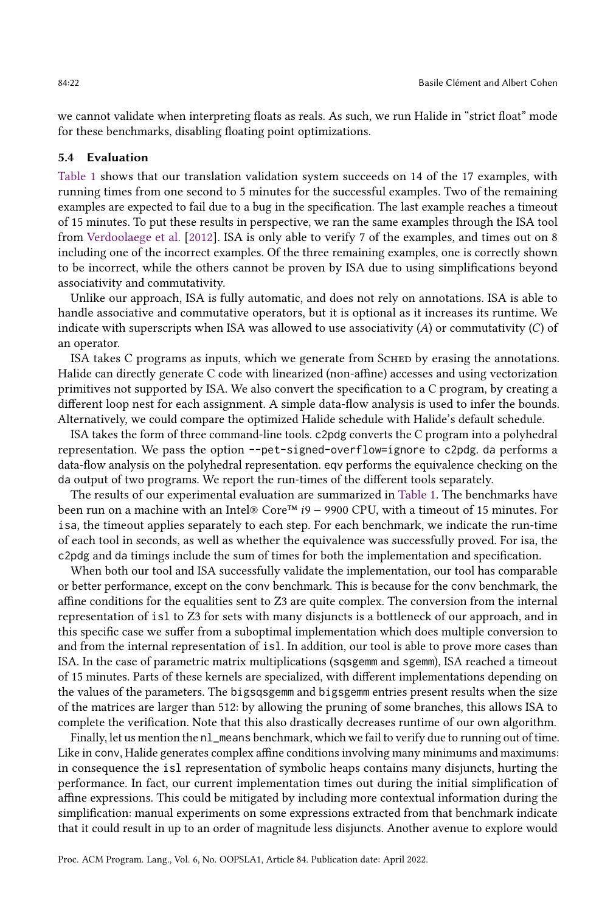we cannot validate when interpreting floats as reals. As such, we run Halide in "strict float" mode for these benchmarks, disabling floating point optimizations.

#### 5.4 Evaluation

[Table 1](#page-22-1) shows that our translation validation system succeeds on 14 of the 17 examples, with running times from one second to 5 minutes for the successful examples. Two of the remaining examples are expected to fail due to a bug in the specification. The last example reaches a timeout of 15 minutes. To put these results in perspective, we ran the same examples through the ISA tool from [Verdoolaege et al.](#page-29-4) [\[2012\]](#page-29-4). ISA is only able to verify 7 of the examples, and times out on 8 including one of the incorrect examples. Of the three remaining examples, one is correctly shown to be incorrect, while the others cannot be proven by ISA due to using simplifications beyond associativity and commutativity.

Unlike our approach, ISA is fully automatic, and does not rely on annotations. ISA is able to handle associative and commutative operators, but it is optional as it increases its runtime. We indicate with superscripts when ISA was allowed to use associativity  $(A)$  or commutativity  $(C)$  of an operator.

ISA takes C programs as inputs, which we generate from SCHED by erasing the annotations. Halide can directly generate C code with linearized (non-affine) accesses and using vectorization primitives not supported by ISA. We also convert the specification to a C program, by creating a different loop nest for each assignment. A simple data-flow analysis is used to infer the bounds. Alternatively, we could compare the optimized Halide schedule with Halide's default schedule.

ISA takes the form of three command-line tools. c2pdg converts the C program into a polyhedral representation. We pass the option --pet-signed-overflow=ignore to c2pdg. da performs a data-flow analysis on the polyhedral representation. eqv performs the equivalence checking on the da output of two programs. We report the run-times of the different tools separately.

The results of our experimental evaluation are summarized in [Table 1.](#page-22-1) The benchmarks have been run on a machine with an Intel® Core™ 9 − 9900 CPU, with a timeout of 15 minutes. For isa, the timeout applies separately to each step. For each benchmark, we indicate the run-time of each tool in seconds, as well as whether the equivalence was successfully proved. For isa, the c2pdg and da timings include the sum of times for both the implementation and specification.

When both our tool and ISA successfully validate the implementation, our tool has comparable or better performance, except on the conv benchmark. This is because for the conv benchmark, the affine conditions for the equalities sent to Z3 are quite complex. The conversion from the internal representation of isl to Z3 for sets with many disjuncts is a bottleneck of our approach, and in this specific case we suffer from a suboptimal implementation which does multiple conversion to and from the internal representation of isl. In addition, our tool is able to prove more cases than ISA. In the case of parametric matrix multiplications (sqsgemm and sgemm), ISA reached a timeout of 15 minutes. Parts of these kernels are specialized, with different implementations depending on the values of the parameters. The bigsqsgemm and bigsgemm entries present results when the size of the matrices are larger than 512: by allowing the pruning of some branches, this allows ISA to complete the verification. Note that this also drastically decreases runtime of our own algorithm.

Finally, let us mention the nl\_means benchmark, which we fail to verify due to running out of time. Like in conv, Halide generates complex affine conditions involving many minimums and maximums: in consequence the isl representation of symbolic heaps contains many disjuncts, hurting the performance. In fact, our current implementation times out during the initial simplification of affine expressions. This could be mitigated by including more contextual information during the simplification: manual experiments on some expressions extracted from that benchmark indicate that it could result in up to an order of magnitude less disjuncts. Another avenue to explore would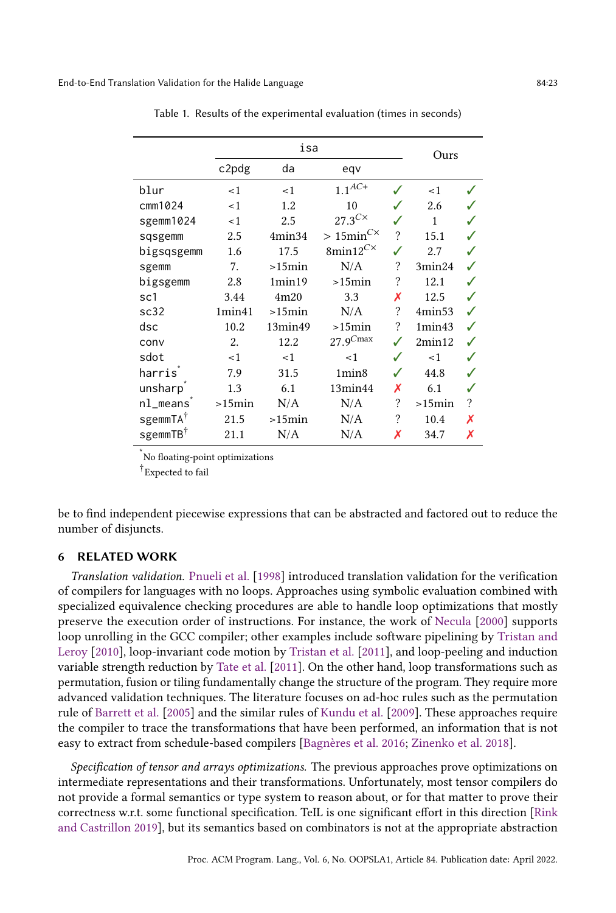<span id="page-22-1"></span>

|                      |           | Ours      |                                            |                    |        |   |
|----------------------|-----------|-----------|--------------------------------------------|--------------------|--------|---|
|                      | c2pdg     | da        | eqv                                        |                    |        |   |
| blur                 | < 1       | <1        | $1.1^{\ensuremath{A\!C\!+\,}}$             |                    | < 1    |   |
| cmm1024              | <1        | 1.2       | 10                                         |                    | 2.6    |   |
| sgemm1024            | <1        | 2.5       | $27.3^{C\times}$                           |                    | 1      |   |
| sqsgemm              | 2.5       | 4min34    | $> 15$ min <sup>C<math>\times</math></sup> | $\overline{\cdot}$ | 15.1   |   |
| bigsqsgemm           | 1.6       | 17.5      | 8min12 $^{C\times}$                        | ✓                  | 2.7    |   |
| sgemm                | 7.        | $>15$ min | N/A                                        | ?                  | 3min24 |   |
| bigsgemm             | 2.8       | 1min19    | $>15$ min                                  | ?                  | 12.1   |   |
| sc1                  | 3.44      | 4m20      | 3.3                                        | Х                  | 12.5   |   |
| sc32                 | 1min41    | $>15$ min | N/A                                        | ?                  | 4min53 |   |
| dsc                  | 10.2      | 13min49   | $>15$ min                                  | ?                  | 1min43 |   |
| conv                 | 2.        | 12.2      | $27.9^{Cmax}$                              |                    | 2min12 |   |
| sdot                 | < 1       | < 1       | < 1                                        | $\checkmark$       | < 1    |   |
| harrisî              | 7.9       | 31.5      | 1min8                                      | $\checkmark$       | 44.8   |   |
| unsharp              | 1.3       | 6.1       | 13min44                                    | Х                  | 6.1    |   |
| $nl$ means           | $>15$ min | N/A       | N/A                                        | ?                  | >15min | ? |
| sgemmTA <sup>†</sup> | 21.5      | $>15$ min | N/A                                        | ?                  | 10.4   | Х |
| sgemmTB <sup>†</sup> | 21.1      | N/A       | N/A                                        | Х                  | 34.7   | Х |

Table 1. Results of the experimental evaluation (times in seconds)

No floating-point optimizations

† Expected to fail

be to find independent piecewise expressions that can be abstracted and factored out to reduce the number of disjuncts.

#### <span id="page-22-0"></span>6 RELATED WORK

Translation validation. [Pnueli et al.](#page-28-5) [\[1998\]](#page-28-5) introduced translation validation for the verification of compilers for languages with no loops. Approaches using symbolic evaluation combined with specialized equivalence checking procedures are able to handle loop optimizations that mostly preserve the execution order of instructions. For instance, the work of [Necula](#page-28-12) [\[2000\]](#page-28-12) supports loop unrolling in the GCC compiler; other examples include software pipelining by [Tristan and](#page-28-13) [Leroy](#page-28-13) [\[2010\]](#page-28-13), loop-invariant code motion by [Tristan et al.](#page-28-14) [\[2011\]](#page-28-14), and loop-peeling and induction variable strength reduction by [Tate et al.](#page-28-15) [\[2011\]](#page-28-15). On the other hand, loop transformations such as permutation, fusion or tiling fundamentally change the structure of the program. They require more advanced validation techniques. The literature focuses on ad-hoc rules such as the permutation rule of [Barrett et al.](#page-27-10) [\[2005\]](#page-27-10) and the similar rules of [Kundu et al.](#page-28-16) [\[2009\]](#page-28-16). These approaches require the compiler to trace the transformations that have been performed, an information that is not easy to extract from schedule-based compilers [\[Bagnères et al.](#page-27-11) [2016;](#page-27-11) [Zinenko et al.](#page-29-5) [2018\]](#page-29-5).

Specification of tensor and arrays optimizations. The previous approaches prove optimizations on intermediate representations and their transformations. Unfortunately, most tensor compilers do not provide a formal semantics or type system to reason about, or for that matter to prove their correctness w.r.t. some functional specification. TeIL is one significant effort in this direction [\[Rink](#page-28-17) [and Castrillon](#page-28-17) [2019\]](#page-28-17), but its semantics based on combinators is not at the appropriate abstraction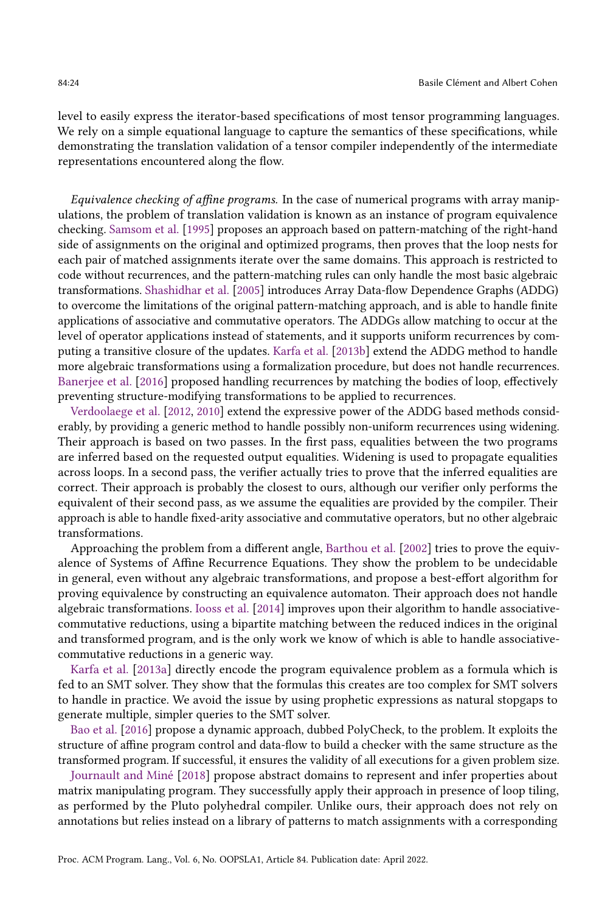level to easily express the iterator-based specifications of most tensor programming languages. We rely on a simple equational language to capture the semantics of these specifications, while demonstrating the translation validation of a tensor compiler independently of the intermediate representations encountered along the flow.

Equivalence checking of affine programs. In the case of numerical programs with array manipulations, the problem of translation validation is known as an instance of program equivalence checking. [Samsom et al.](#page-28-18) [\[1995\]](#page-28-18) proposes an approach based on pattern-matching of the right-hand side of assignments on the original and optimized programs, then proves that the loop nests for each pair of matched assignments iterate over the same domains. This approach is restricted to code without recurrences, and the pattern-matching rules can only handle the most basic algebraic transformations. [Shashidhar et al.](#page-28-8) [\[2005\]](#page-28-8) introduces Array Data-flow Dependence Graphs (ADDG) to overcome the limitations of the original pattern-matching approach, and is able to handle finite applications of associative and commutative operators. The ADDGs allow matching to occur at the level of operator applications instead of statements, and it supports uniform recurrences by computing a transitive closure of the updates. [Karfa et al.](#page-27-12) [\[2013b\]](#page-27-12) extend the ADDG method to handle more algebraic transformations using a formalization procedure, but does not handle recurrences. [Banerjee et al.](#page-27-13) [\[2016\]](#page-27-13) proposed handling recurrences by matching the bodies of loop, effectively preventing structure-modifying transformations to be applied to recurrences.

[Verdoolaege et al.](#page-29-4) [\[2012,](#page-29-4) [2010\]](#page-29-6) extend the expressive power of the ADDG based methods considerably, by providing a generic method to handle possibly non-uniform recurrences using widening. Their approach is based on two passes. In the first pass, equalities between the two programs are inferred based on the requested output equalities. Widening is used to propagate equalities across loops. In a second pass, the verifier actually tries to prove that the inferred equalities are correct. Their approach is probably the closest to ours, although our verifier only performs the equivalent of their second pass, as we assume the equalities are provided by the compiler. Their approach is able to handle fixed-arity associative and commutative operators, but no other algebraic transformations.

Approaching the problem from a different angle, [Barthou et al.](#page-27-14) [\[2002\]](#page-27-14) tries to prove the equivalence of Systems of Affine Recurrence Equations. They show the problem to be undecidable in general, even without any algebraic transformations, and propose a best-effort algorithm for proving equivalence by constructing an equivalence automaton. Their approach does not handle algebraic transformations. [Iooss et al.](#page-27-15) [\[2014\]](#page-27-15) improves upon their algorithm to handle associativecommutative reductions, using a bipartite matching between the reduced indices in the original and transformed program, and is the only work we know of which is able to handle associativecommutative reductions in a generic way.

[Karfa et al.](#page-27-16) [\[2013a\]](#page-27-16) directly encode the program equivalence problem as a formula which is fed to an SMT solver. They show that the formulas this creates are too complex for SMT solvers to handle in practice. We avoid the issue by using prophetic expressions as natural stopgaps to generate multiple, simpler queries to the SMT solver.

[Bao et al.](#page-27-17) [\[2016\]](#page-27-17) propose a dynamic approach, dubbed PolyCheck, to the problem. It exploits the structure of affine program control and data-flow to build a checker with the same structure as the transformed program. If successful, it ensures the validity of all executions for a given problem size.

[Journault and Miné](#page-27-18) [\[2018\]](#page-27-18) propose abstract domains to represent and infer properties about matrix manipulating program. They successfully apply their approach in presence of loop tiling, as performed by the Pluto polyhedral compiler. Unlike ours, their approach does not rely on annotations but relies instead on a library of patterns to match assignments with a corresponding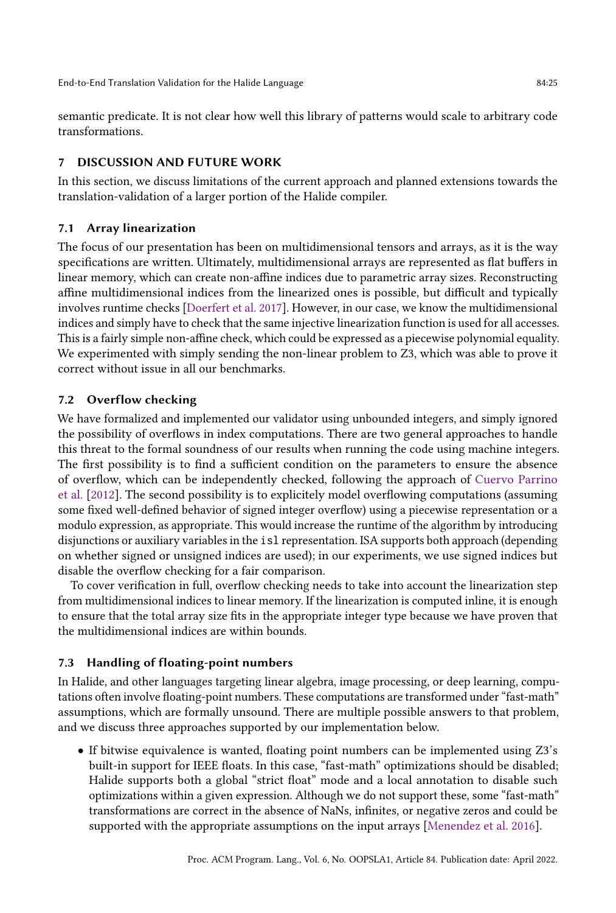semantic predicate. It is not clear how well this library of patterns would scale to arbitrary code transformations.

## <span id="page-24-0"></span>7 DISCUSSION AND FUTURE WORK

In this section, we discuss limitations of the current approach and planned extensions towards the translation-validation of a larger portion of the Halide compiler.

## <span id="page-24-3"></span>7.1 Array linearization

The focus of our presentation has been on multidimensional tensors and arrays, as it is the way specifications are written. Ultimately, multidimensional arrays are represented as flat buffers in linear memory, which can create non-affine indices due to parametric array sizes. Reconstructing affine multidimensional indices from the linearized ones is possible, but difficult and typically involves runtime checks [\[Doerfert et al.](#page-27-19) [2017\]](#page-27-19). However, in our case, we know the multidimensional indices and simply have to check that the same injective linearization function is used for all accesses. This is a fairly simple non-affine check, which could be expressed as a piecewise polynomial equality. We experimented with simply sending the non-linear problem to Z3, which was able to prove it correct without issue in all our benchmarks.

## <span id="page-24-2"></span>7.2 Overflow checking

We have formalized and implemented our validator using unbounded integers, and simply ignored the possibility of overflows in index computations. There are two general approaches to handle this threat to the formal soundness of our results when running the code using machine integers. The first possibility is to find a sufficient condition on the parameters to ensure the absence of overflow, which can be independently checked, following the approach of [Cuervo Parrino](#page-27-20) [et al.](#page-27-20) [\[2012\]](#page-27-20). The second possibility is to explicitely model overflowing computations (assuming some fixed well-defined behavior of signed integer overflow) using a piecewise representation or a modulo expression, as appropriate. This would increase the runtime of the algorithm by introducing disjunctions or auxiliary variables in the isl representation. ISA supports both approach (depending on whether signed or unsigned indices are used); in our experiments, we use signed indices but disable the overflow checking for a fair comparison.

To cover verification in full, overflow checking needs to take into account the linearization step from multidimensional indices to linear memory. If the linearization is computed inline, it is enough to ensure that the total array size fits in the appropriate integer type because we have proven that the multidimensional indices are within bounds.

## <span id="page-24-1"></span>7.3 Handling of floating-point numbers

In Halide, and other languages targeting linear algebra, image processing, or deep learning, computations often involve floating-point numbers. These computations are transformed under "fast-math" assumptions, which are formally unsound. There are multiple possible answers to that problem, and we discuss three approaches supported by our implementation below.

• If bitwise equivalence is wanted, floating point numbers can be implemented using Z3's built-in support for IEEE floats. In this case, "fast-math" optimizations should be disabled; Halide supports both a global "strict float" mode and a local annotation to disable such optimizations within a given expression. Although we do not support these, some "fast-math" transformations are correct in the absence of NaNs, infinites, or negative zeros and could be supported with the appropriate assumptions on the input arrays [\[Menendez et al.](#page-28-19) [2016\]](#page-28-19).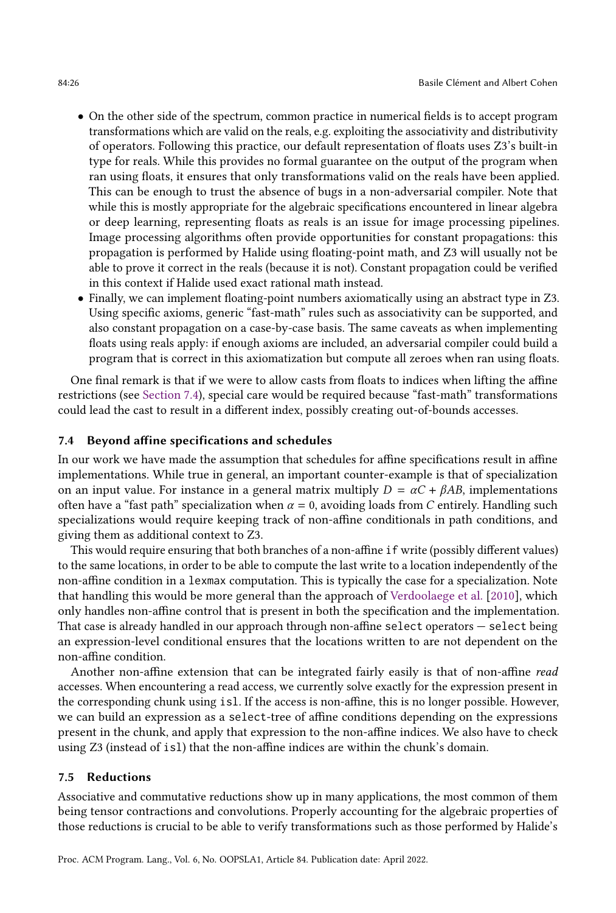- On the other side of the spectrum, common practice in numerical fields is to accept program transformations which are valid on the reals, e.g. exploiting the associativity and distributivity of operators. Following this practice, our default representation of floats uses Z3's built-in type for reals. While this provides no formal guarantee on the output of the program when ran using floats, it ensures that only transformations valid on the reals have been applied. This can be enough to trust the absence of bugs in a non-adversarial compiler. Note that while this is mostly appropriate for the algebraic specifications encountered in linear algebra or deep learning, representing floats as reals is an issue for image processing pipelines. Image processing algorithms often provide opportunities for constant propagations: this propagation is performed by Halide using floating-point math, and Z3 will usually not be able to prove it correct in the reals (because it is not). Constant propagation could be verified in this context if Halide used exact rational math instead.
- Finally, we can implement floating-point numbers axiomatically using an abstract type in Z3. Using specific axioms, generic "fast-math" rules such as associativity can be supported, and also constant propagation on a case-by-case basis. The same caveats as when implementing floats using reals apply: if enough axioms are included, an adversarial compiler could build a program that is correct in this axiomatization but compute all zeroes when ran using floats.

One final remark is that if we were to allow casts from floats to indices when lifting the affine restrictions (see [Section 7.4\)](#page-25-0), special care would be required because "fast-math" transformations could lead the cast to result in a different index, possibly creating out-of-bounds accesses.

### <span id="page-25-0"></span>7.4 Beyond affine specifications and schedules

In our work we have made the assumption that schedules for affine specifications result in affine implementations. While true in general, an important counter-example is that of specialization on an input value. For instance in a general matrix multiply  $D = \alpha C + \beta AB$ , implementations often have a "fast path" specialization when  $\alpha = 0$ , avoiding loads from C entirely. Handling such specializations would require keeping track of non-affine conditionals in path conditions, and giving them as additional context to Z3.

This would require ensuring that both branches of a non-affine if write (possibly different values) to the same locations, in order to be able to compute the last write to a location independently of the non-affine condition in a lexmax computation. This is typically the case for a specialization. Note that handling this would be more general than the approach of [Verdoolaege et al.](#page-29-6) [\[2010\]](#page-29-6), which only handles non-affine control that is present in both the specification and the implementation. That case is already handled in our approach through non-affine select operators — select being an expression-level conditional ensures that the locations written to are not dependent on the non-affine condition.

Another non-affine extension that can be integrated fairly easily is that of non-affine read accesses. When encountering a read access, we currently solve exactly for the expression present in the corresponding chunk using isl. If the access is non-affine, this is no longer possible. However, we can build an expression as a select-tree of affine conditions depending on the expressions present in the chunk, and apply that expression to the non-affine indices. We also have to check using Z3 (instead of isl) that the non-affine indices are within the chunk's domain.

## 7.5 Reductions

Associative and commutative reductions show up in many applications, the most common of them being tensor contractions and convolutions. Properly accounting for the algebraic properties of those reductions is crucial to be able to verify transformations such as those performed by Halide's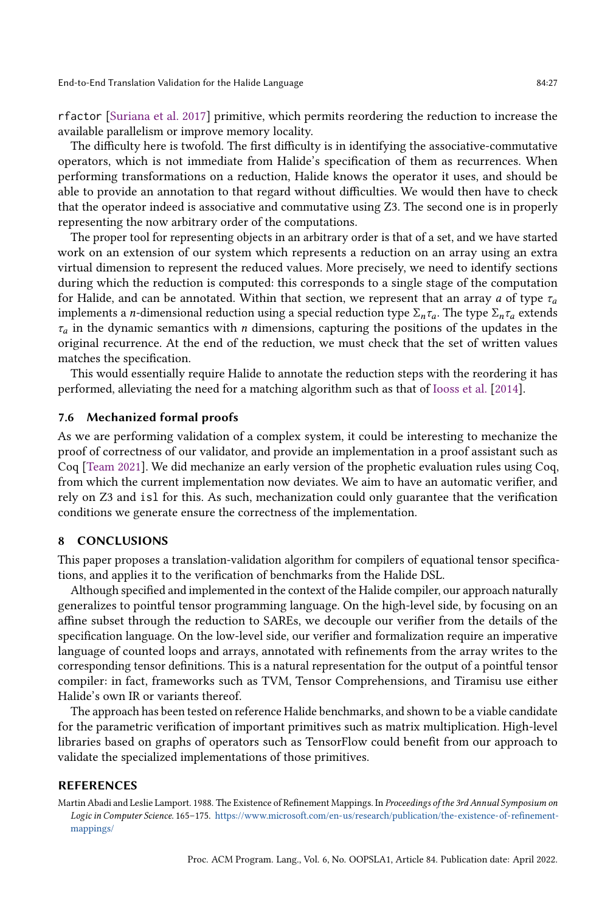rfactor [\[Suriana et al.](#page-28-20) [2017\]](#page-28-20) primitive, which permits reordering the reduction to increase the available parallelism or improve memory locality.

The difficulty here is twofold. The first difficulty is in identifying the associative-commutative operators, which is not immediate from Halide's specification of them as recurrences. When performing transformations on a reduction, Halide knows the operator it uses, and should be able to provide an annotation to that regard without difficulties. We would then have to check that the operator indeed is associative and commutative using Z3. The second one is in properly representing the now arbitrary order of the computations.

The proper tool for representing objects in an arbitrary order is that of a set, and we have started work on an extension of our system which represents a reduction on an array using an extra virtual dimension to represent the reduced values. More precisely, we need to identify sections during which the reduction is computed: this corresponds to a single stage of the computation for Halide, and can be annotated. Within that section, we represent that an array a of type  $\tau_a$ implements a *n*-dimensional reduction using a special reduction type  $\Sigma_n \tau_a$ . The type  $\Sigma_n \tau_a$  extends  $\tau_a$  in the dynamic semantics with *n* dimensions, capturing the positions of the updates in the original recurrence. At the end of the reduction, we must check that the set of written values matches the specification.

This would essentially require Halide to annotate the reduction steps with the reordering it has performed, alleviating the need for a matching algorithm such as that of [Iooss et al.](#page-27-15) [\[2014\]](#page-27-15).

## 7.6 Mechanized formal proofs

As we are performing validation of a complex system, it could be interesting to mechanize the proof of correctness of our validator, and provide an implementation in a proof assistant such as Coq [\[Team](#page-28-21) [2021\]](#page-28-21). We did mechanize an early version of the prophetic evaluation rules using Coq, from which the current implementation now deviates. We aim to have an automatic verifier, and rely on Z3 and isl for this. As such, mechanization could only guarantee that the verification conditions we generate ensure the correctness of the implementation.

#### 8 CONCLUSIONS

This paper proposes a translation-validation algorithm for compilers of equational tensor specifications, and applies it to the verification of benchmarks from the Halide DSL.

Although specified and implemented in the context of the Halide compiler, our approach naturally generalizes to pointful tensor programming language. On the high-level side, by focusing on an affine subset through the reduction to SAREs, we decouple our verifier from the details of the specification language. On the low-level side, our verifier and formalization require an imperative language of counted loops and arrays, annotated with refinements from the array writes to the corresponding tensor definitions. This is a natural representation for the output of a pointful tensor compiler: in fact, frameworks such as TVM, Tensor Comprehensions, and Tiramisu use either Halide's own IR or variants thereof.

The approach has been tested on reference Halide benchmarks, and shown to be a viable candidate for the parametric verification of important primitives such as matrix multiplication. High-level libraries based on graphs of operators such as TensorFlow could benefit from our approach to validate the specialized implementations of those primitives.

#### **REFERENCES**

<span id="page-26-0"></span>Martin Abadi and Leslie Lamport. 1988. The Existence of Refinement Mappings. In Proceedings of the 3rd Annual Symposium on Logic in Computer Science. 165–175. [https://www.microsoft.com/en-us/research/publication/the-existence-of-refinement](https://www.microsoft.com/en-us/research/publication/the-existence-of-refinement-mappings/)[mappings/](https://www.microsoft.com/en-us/research/publication/the-existence-of-refinement-mappings/)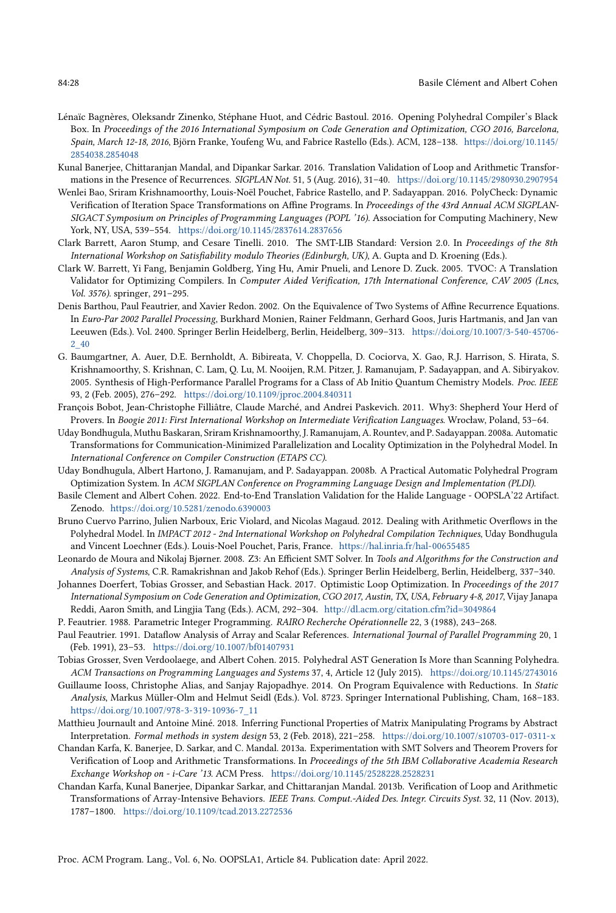- <span id="page-27-11"></span>Lénaïc Bagnères, Oleksandr Zinenko, Stéphane Huot, and Cédric Bastoul. 2016. Opening Polyhedral Compiler's Black Box. In Proceedings of the 2016 International Symposium on Code Generation and Optimization, CGO 2016, Barcelona, Spain, March 12-18, 2016, Björn Franke, Youfeng Wu, and Fabrice Rastello (Eds.). ACM, 128–138. [https://doi.org/10.1145/](https://doi.org/10.1145/2854038.2854048) [2854038.2854048](https://doi.org/10.1145/2854038.2854048)
- <span id="page-27-13"></span>Kunal Banerjee, Chittaranjan Mandal, and Dipankar Sarkar. 2016. Translation Validation of Loop and Arithmetic Transformations in the Presence of Recurrences. SIGPLAN Not. 51, 5 (Aug. 2016), 31–40. <https://doi.org/10.1145/2980930.2907954>
- <span id="page-27-17"></span>Wenlei Bao, Sriram Krishnamoorthy, Louis-Noël Pouchet, Fabrice Rastello, and P. Sadayappan. 2016. PolyCheck: Dynamic Verification of Iteration Space Transformations on Affine Programs. In Proceedings of the 43rd Annual ACM SIGPLAN-SIGACT Symposium on Principles of Programming Languages (POPL '16). Association for Computing Machinery, New York, NY, USA, 539–554. <https://doi.org/10.1145/2837614.2837656>
- <span id="page-27-9"></span>Clark Barrett, Aaron Stump, and Cesare Tinelli. 2010. The SMT-LIB Standard: Version 2.0. In Proceedings of the 8th International Workshop on Satisfiability modulo Theories (Edinburgh, UK), A. Gupta and D. Kroening (Eds.).
- <span id="page-27-10"></span>Clark W. Barrett, Yi Fang, Benjamin Goldberg, Ying Hu, Amir Pnueli, and Lenore D. Zuck. 2005. TVOC: A Translation Validator for Optimizing Compilers. In Computer Aided Verification, 17th International Conference, CAV 2005 (Lncs, Vol. 3576). springer, 291–295.
- <span id="page-27-14"></span>Denis Barthou, Paul Feautrier, and Xavier Redon. 2002. On the Equivalence of Two Systems of Affine Recurrence Equations. In Euro-Par 2002 Parallel Processing, Burkhard Monien, Rainer Feldmann, Gerhard Goos, Juris Hartmanis, and Jan van Leeuwen (Eds.). Vol. 2400. Springer Berlin Heidelberg, Berlin, Heidelberg, 309–313. [https://doi.org/10.1007/3-540-45706-](https://doi.org/10.1007/3-540-45706-2_40) [2\\_40](https://doi.org/10.1007/3-540-45706-2_40)
- <span id="page-27-0"></span>G. Baumgartner, A. Auer, D.E. Bernholdt, A. Bibireata, V. Choppella, D. Cociorva, X. Gao, R.J. Harrison, S. Hirata, S. Krishnamoorthy, S. Krishnan, C. Lam, Q. Lu, M. Nooijen, R.M. Pitzer, J. Ramanujam, P. Sadayappan, and A. Sibiryakov. 2005. Synthesis of High-Performance Parallel Programs for a Class of Ab Initio Quantum Chemistry Models. Proc. IEEE 93, 2 (Feb. 2005), 276–292. <https://doi.org/10.1109/jproc.2004.840311>
- <span id="page-27-6"></span>François Bobot, Jean-Christophe Filliâtre, Claude Marché, and Andrei Paskevich. 2011. Why3: Shepherd Your Herd of Provers. In Boogie 2011: First International Workshop on Intermediate Verification Languages. Wrocław, Poland, 53–64.
- <span id="page-27-2"></span>Uday Bondhugula, Muthu Baskaran, Sriram Krishnamoorthy, J. Ramanujam, A. Rountev, and P. Sadayappan. 2008a. Automatic Transformations for Communication-Minimized Parallelization and Locality Optimization in the Polyhedral Model. In International Conference on Compiler Construction (ETAPS CC).
- <span id="page-27-3"></span>Uday Bondhugula, Albert Hartono, J. Ramanujam, and P. Sadayappan. 2008b. A Practical Automatic Polyhedral Program Optimization System. In ACM SIGPLAN Conference on Programming Language Design and Implementation (PLDI).
- <span id="page-27-7"></span>Basile Clement and Albert Cohen. 2022. End-to-End Translation Validation for the Halide Language - OOPSLA'22 Artifact. Zenodo. <https://doi.org/10.5281/zenodo.6390003>
- <span id="page-27-20"></span>Bruno Cuervo Parrino, Julien Narboux, Eric Violard, and Nicolas Magaud. 2012. Dealing with Arithmetic Overflows in the Polyhedral Model. In IMPACT 2012 - 2nd International Workshop on Polyhedral Compilation Techniques, Uday Bondhugula and Vincent Loechner (Eds.). Louis-Noel Pouchet, Paris, France. <https://hal.inria.fr/hal-00655485>
- <span id="page-27-4"></span>Leonardo de Moura and Nikolaj Bjørner. 2008. Z3: An Efficient SMT Solver. In Tools and Algorithms for the Construction and Analysis of Systems, C.R. Ramakrishnan and Jakob Rehof (Eds.). Springer Berlin Heidelberg, Berlin, Heidelberg, 337–340.
- <span id="page-27-19"></span>Johannes Doerfert, Tobias Grosser, and Sebastian Hack. 2017. Optimistic Loop Optimization. In Proceedings of the 2017 International Symposium on Code Generation and Optimization, CGO 2017, Austin, TX, USA, February 4-8, 2017, Vijay Janapa Reddi, Aaron Smith, and Lingjia Tang (Eds.). ACM, 292–304. <http://dl.acm.org/citation.cfm?id=3049864>
- <span id="page-27-8"></span><span id="page-27-5"></span>P. Feautrier. 1988. Parametric Integer Programming. RAIRO Recherche Opérationnelle 22, 3 (1988), 243–268.
- Paul Feautrier. 1991. Dataflow Analysis of Array and Scalar References. International Journal of Parallel Programming 20, 1 (Feb. 1991), 23–53. <https://doi.org/10.1007/bf01407931>
- <span id="page-27-1"></span>Tobias Grosser, Sven Verdoolaege, and Albert Cohen. 2015. Polyhedral AST Generation Is More than Scanning Polyhedra. ACM Transactions on Programming Languages and Systems 37, 4, Article 12 (July 2015). <https://doi.org/10.1145/2743016>
- <span id="page-27-15"></span>Guillaume Iooss, Christophe Alias, and Sanjay Rajopadhye. 2014. On Program Equivalence with Reductions. In Static Analysis, Markus Müller-Olm and Helmut Seidl (Eds.). Vol. 8723. Springer International Publishing, Cham, 168–183. [https://doi.org/10.1007/978-3-319-10936-7\\_11](https://doi.org/10.1007/978-3-319-10936-7_11)
- <span id="page-27-18"></span>Matthieu Journault and Antoine Miné. 2018. Inferring Functional Properties of Matrix Manipulating Programs by Abstract Interpretation. Formal methods in system design 53, 2 (Feb. 2018), 221–258. <https://doi.org/10.1007/s10703-017-0311-x>
- <span id="page-27-16"></span>Chandan Karfa, K. Banerjee, D. Sarkar, and C. Mandal. 2013a. Experimentation with SMT Solvers and Theorem Provers for Verification of Loop and Arithmetic Transformations. In Proceedings of the 5th IBM Collaborative Academia Research Exchange Workshop on - i-Care '13. ACM Press. <https://doi.org/10.1145/2528228.2528231>
- <span id="page-27-12"></span>Chandan Karfa, Kunal Banerjee, Dipankar Sarkar, and Chittaranjan Mandal. 2013b. Verification of Loop and Arithmetic Transformations of Array-Intensive Behaviors. IEEE Trans. Comput.-Aided Des. Integr. Circuits Syst. 32, 11 (Nov. 2013), 1787–1800. <https://doi.org/10.1109/tcad.2013.2272536>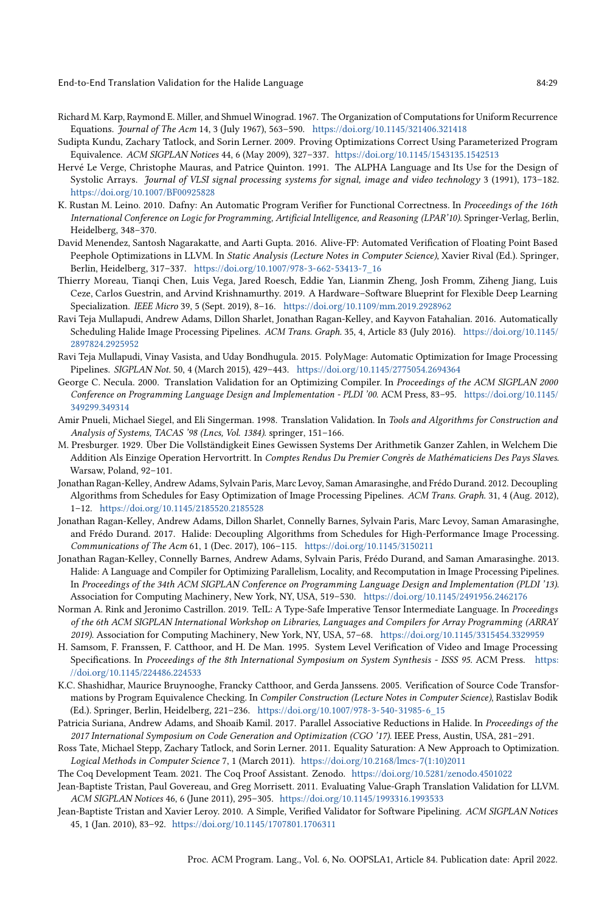- <span id="page-28-9"></span>Richard M. Karp, Raymond E. Miller, and Shmuel Winograd. 1967. The Organization of Computations for Uniform Recurrence Equations. Journal of The Acm 14, 3 (July 1967), 563–590. <https://doi.org/10.1145/321406.321418>
- <span id="page-28-16"></span>Sudipta Kundu, Zachary Tatlock, and Sorin Lerner. 2009. Proving Optimizations Correct Using Parameterized Program Equivalence. ACM SIGPLAN Notices 44, 6 (May 2009), 327–337. <https://doi.org/10.1145/1543135.1542513>
- <span id="page-28-10"></span>Hervé Le Verge, Christophe Mauras, and Patrice Quinton. 1991. The ALPHA Language and Its Use for the Design of Systolic Arrays. Journal of VLSI signal processing systems for signal, image and video technology 3 (1991), 173–182. <https://doi.org/10.1007/BF00925828>
- <span id="page-28-11"></span>K. Rustan M. Leino. 2010. Dafny: An Automatic Program Verifier for Functional Correctness. In Proceedings of the 16th International Conference on Logic for Programming, Artificial Intelligence, and Reasoning (LPAR'10). Springer-Verlag, Berlin, Heidelberg, 348–370.
- <span id="page-28-19"></span>David Menendez, Santosh Nagarakatte, and Aarti Gupta. 2016. Alive-FP: Automated Verification of Floating Point Based Peephole Optimizations in LLVM. In Static Analysis (Lecture Notes in Computer Science), Xavier Rival (Ed.). Springer, Berlin, Heidelberg, 317–337. [https://doi.org/10.1007/978-3-662-53413-7\\_16](https://doi.org/10.1007/978-3-662-53413-7_16)
- <span id="page-28-2"></span>Thierry Moreau, Tianqi Chen, Luis Vega, Jared Roesch, Eddie Yan, Lianmin Zheng, Josh Fromm, Ziheng Jiang, Luis Ceze, Carlos Guestrin, and Arvind Krishnamurthy. 2019. A Hardware–Software Blueprint for Flexible Deep Learning Specialization. IEEE Micro 39, 5 (Sept. 2019), 8–16. <https://doi.org/10.1109/mm.2019.2928962>
- <span id="page-28-3"></span>Ravi Teja Mullapudi, Andrew Adams, Dillon Sharlet, Jonathan Ragan-Kelley, and Kayvon Fatahalian. 2016. Automatically Scheduling Halide Image Processing Pipelines. ACM Trans. Graph. 35, 4, Article 83 (July 2016). [https://doi.org/10.1145/](https://doi.org/10.1145/2897824.2925952) [2897824.2925952](https://doi.org/10.1145/2897824.2925952)
- <span id="page-28-4"></span>Ravi Teja Mullapudi, Vinay Vasista, and Uday Bondhugula. 2015. PolyMage: Automatic Optimization for Image Processing Pipelines. SIGPLAN Not. 50, 4 (March 2015), 429–443. <https://doi.org/10.1145/2775054.2694364>
- <span id="page-28-12"></span>George C. Necula. 2000. Translation Validation for an Optimizing Compiler. In Proceedings of the ACM SIGPLAN 2000 Conference on Programming Language Design and Implementation - PLDI '00. ACM Press, 83–95. [https://doi.org/10.1145/](https://doi.org/10.1145/349299.349314) [349299.349314](https://doi.org/10.1145/349299.349314)
- <span id="page-28-5"></span>Amir Pnueli, Michael Siegel, and Eli Singerman. 1998. Translation Validation. In Tools and Algorithms for Construction and Analysis of Systems, TACAS '98 (Lncs, Vol. 1384). springer, 151–166.
- <span id="page-28-7"></span>M. Presburger. 1929. Über Die Vollständigkeit Eines Gewissen Systems Der Arithmetik Ganzer Zahlen, in Welchem Die Addition Als Einzige Operation Hervortritt. In Comptes Rendus Du Premier Congrès de Mathématiciens Des Pays Slaves. Warsaw, Poland, 92–101.
- <span id="page-28-1"></span>Jonathan Ragan-Kelley, Andrew Adams, Sylvain Paris, Marc Levoy, Saman Amarasinghe, and Frédo Durand. 2012. Decoupling Algorithms from Schedules for Easy Optimization of Image Processing Pipelines. ACM Trans. Graph. 31, 4 (Aug. 2012), 1–12. <https://doi.org/10.1145/2185520.2185528>
- <span id="page-28-6"></span>Jonathan Ragan-Kelley, Andrew Adams, Dillon Sharlet, Connelly Barnes, Sylvain Paris, Marc Levoy, Saman Amarasinghe, and Frédo Durand. 2017. Halide: Decoupling Algorithms from Schedules for High-Performance Image Processing. Communications of The Acm 61, 1 (Dec. 2017), 106–115. <https://doi.org/10.1145/3150211>
- <span id="page-28-0"></span>Jonathan Ragan-Kelley, Connelly Barnes, Andrew Adams, Sylvain Paris, Frédo Durand, and Saman Amarasinghe. 2013. Halide: A Language and Compiler for Optimizing Parallelism, Locality, and Recomputation in Image Processing Pipelines. In Proceedings of the 34th ACM SIGPLAN Conference on Programming Language Design and Implementation (PLDI '13). Association for Computing Machinery, New York, NY, USA, 519–530. <https://doi.org/10.1145/2491956.2462176>
- <span id="page-28-17"></span>Norman A. Rink and Jeronimo Castrillon. 2019. TeIL: A Type-Safe Imperative Tensor Intermediate Language. In Proceedings of the 6th ACM SIGPLAN International Workshop on Libraries, Languages and Compilers for Array Programming (ARRAY 2019). Association for Computing Machinery, New York, NY, USA, 57–68. <https://doi.org/10.1145/3315454.3329959>
- <span id="page-28-18"></span>H. Samsom, F. Franssen, F. Catthoor, and H. De Man. 1995. System Level Verification of Video and Image Processing Specifications. In Proceedings of the 8th International Symposium on System Synthesis - ISSS 95. ACM Press. [https:](https://doi.org/10.1145/224486.224533) [//doi.org/10.1145/224486.224533](https://doi.org/10.1145/224486.224533)
- <span id="page-28-8"></span>K.C. Shashidhar, Maurice Bruynooghe, Francky Catthoor, and Gerda Janssens. 2005. Verification of Source Code Transformations by Program Equivalence Checking. In Compiler Construction (Lecture Notes in Computer Science), Rastislav Bodik (Ed.). Springer, Berlin, Heidelberg, 221–236. [https://doi.org/10.1007/978-3-540-31985-6\\_15](https://doi.org/10.1007/978-3-540-31985-6_15)
- <span id="page-28-20"></span>Patricia Suriana, Andrew Adams, and Shoaib Kamil. 2017. Parallel Associative Reductions in Halide. In Proceedings of the 2017 International Symposium on Code Generation and Optimization (CGO '17). IEEE Press, Austin, USA, 281–291.
- <span id="page-28-15"></span>Ross Tate, Michael Stepp, Zachary Tatlock, and Sorin Lerner. 2011. Equality Saturation: A New Approach to Optimization. Logical Methods in Computer Science 7, 1 (March 2011). [https://doi.org/10.2168/lmcs-7\(1:10\)2011](https://doi.org/10.2168/lmcs-7(1:10)2011)
- <span id="page-28-21"></span>The Coq Development Team. 2021. The Coq Proof Assistant. Zenodo. <https://doi.org/10.5281/zenodo.4501022>
- <span id="page-28-14"></span>Jean-Baptiste Tristan, Paul Govereau, and Greg Morrisett. 2011. Evaluating Value-Graph Translation Validation for LLVM. ACM SIGPLAN Notices 46, 6 (June 2011), 295–305. <https://doi.org/10.1145/1993316.1993533>
- <span id="page-28-13"></span>Jean-Baptiste Tristan and Xavier Leroy. 2010. A Simple, Verified Validator for Software Pipelining. ACM SIGPLAN Notices 45, 1 (Jan. 2010), 83–92. <https://doi.org/10.1145/1707801.1706311>